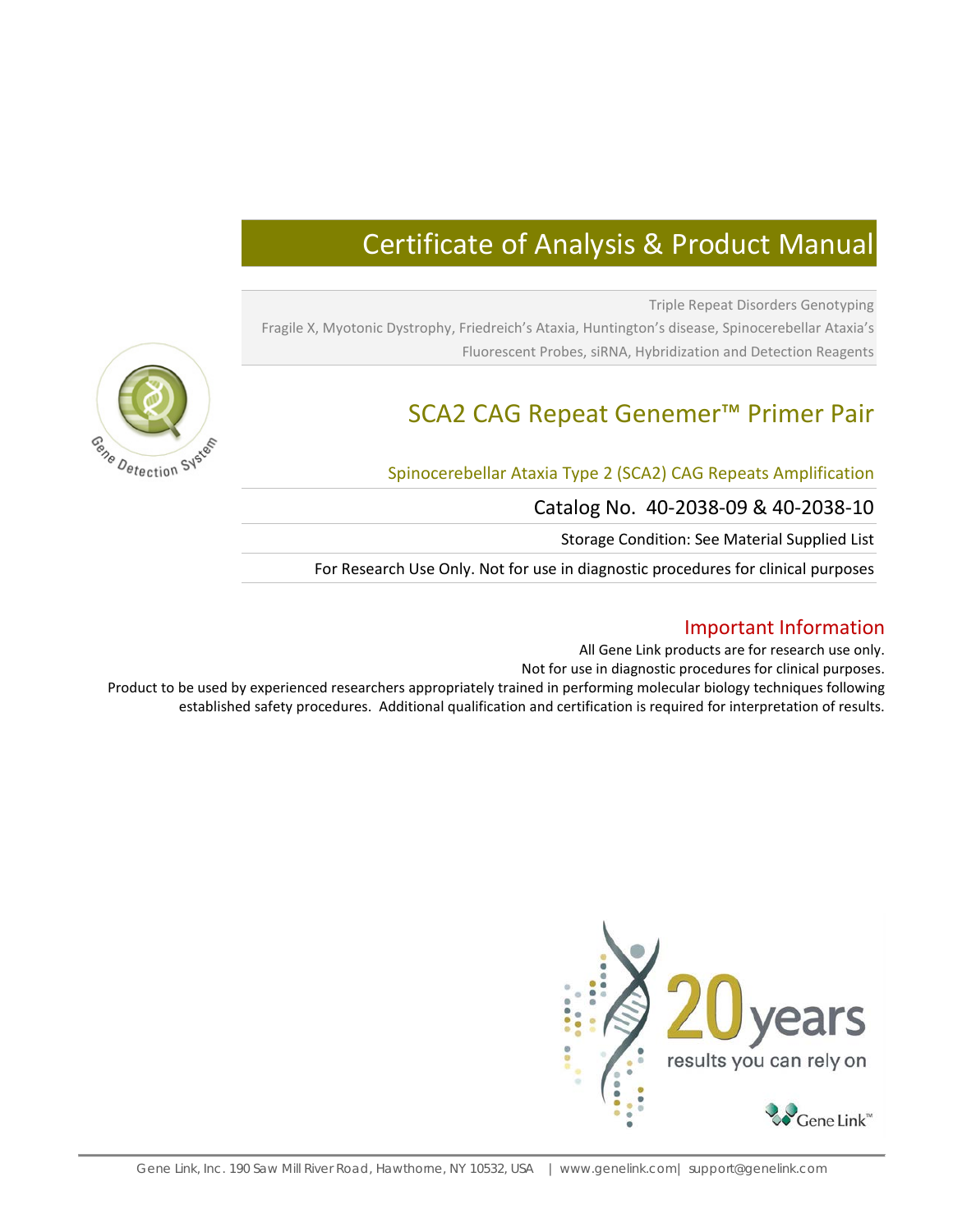# Certificate of Analysis & Product Manual

Triple Repeat Disorders Genotyping Fragile X, Myotonic Dystrophy, Friedreich's Ataxia, Huntington's disease, Spinocerebellar Ataxia's Fluorescent Probes, siRNA, Hybridization and Detection Reagents

# SCA2 CAG Repeat Genemer™ Primer Pair

## Spinocerebellar Ataxia Type 2 (SCA2) CAG Repeats Amplification

Catalog No. 40-2038-09 & 40-2038-10

Storage Condition: See Material Supplied List

For Research Use Only. Not for use in diagnostic procedures for clinical purposes

# Important Information

All Gene Link products are for research use only.

Not for use in diagnostic procedures for clinical purposes.

Product to be used by experienced researchers appropriately trained in performing molecular biology techniques following established safety procedures. Additional qualification and certification is required for interpretation of results.



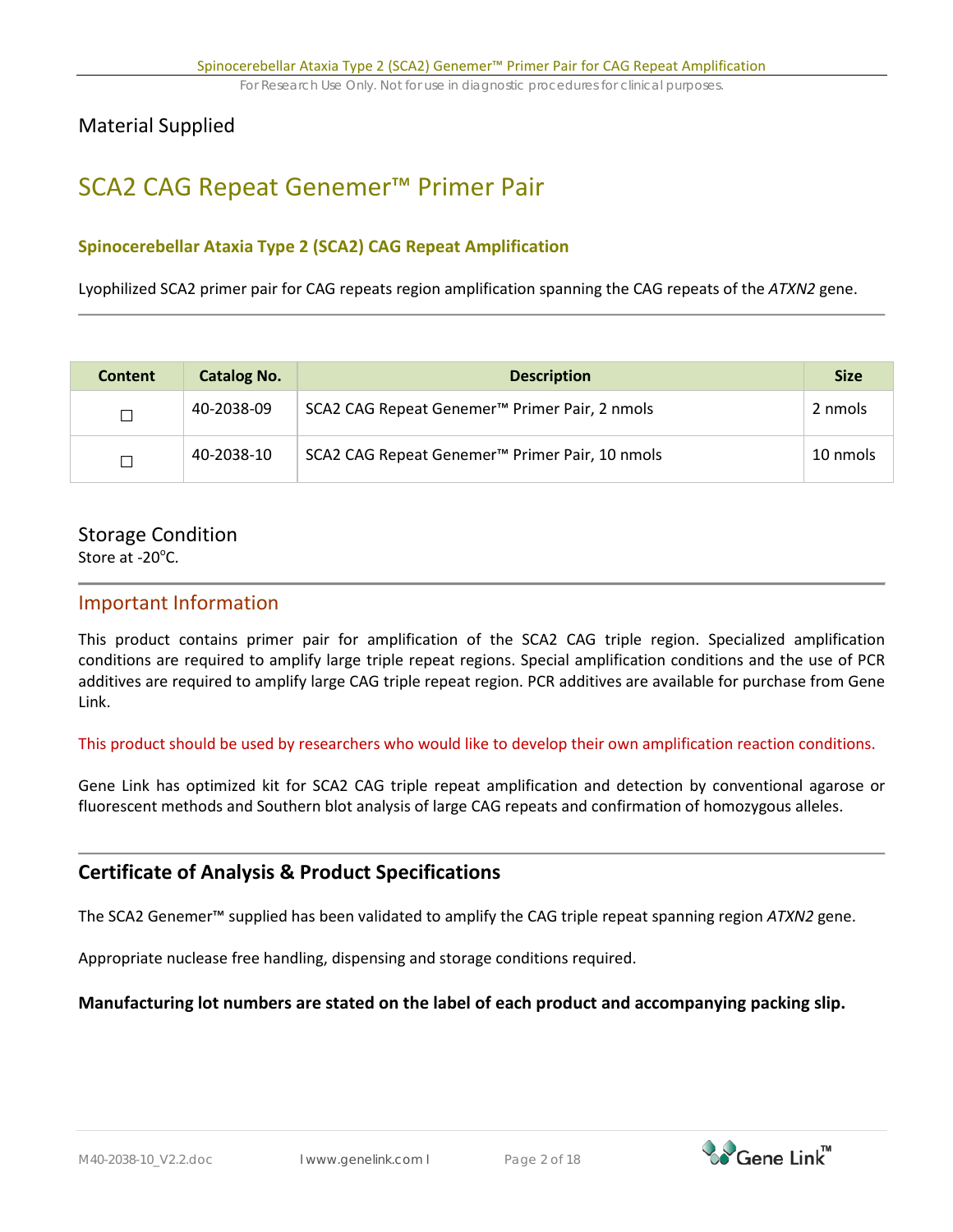# Material Supplied

# SCA2 CAG Repeat Genemer™ Primer Pair

## **Spinocerebellar Ataxia Type 2 (SCA2) CAG Repeat Amplification**

Lyophilized SCA2 primer pair for CAG repeats region amplification spanning the CAG repeats of the *ATXN2* gene.

| <b>Content</b> | <b>Catalog No.</b> | <b>Description</b>                                         | <b>Size</b> |
|----------------|--------------------|------------------------------------------------------------|-------------|
| ┓              | 40-2038-09         | SCA2 CAG Repeat Genemer <sup>™</sup> Primer Pair, 2 nmols  | 2 nmols     |
| ┑              | 40-2038-10         | SCA2 CAG Repeat Genemer <sup>™</sup> Primer Pair, 10 nmols | 10 nmols    |

# Storage Condition

Store at  $-20^{\circ}$ C.

## Important Information

This product contains primer pair for amplification of the SCA2 CAG triple region. Specialized amplification conditions are required to amplify large triple repeat regions. Special amplification conditions and the use of PCR additives are required to amplify large CAG triple repeat region. PCR additives are available for purchase from Gene Link.

This product should be used by researchers who would like to develop their own amplification reaction conditions.

Gene Link has optimized kit for SCA2 CAG triple repeat amplification and detection by conventional agarose or fluorescent methods and Southern blot analysis of large CAG repeats and confirmation of homozygous alleles.

# **Certificate of Analysis & Product Specifications**

The SCA2 Genemer™ supplied has been validated to amplify the CAG triple repeat spanning region *ATXN2* gene.

Appropriate nuclease free handling, dispensing and storage conditions required.

## **Manufacturing lot numbers are stated on the label of each product and accompanying packing slip.**

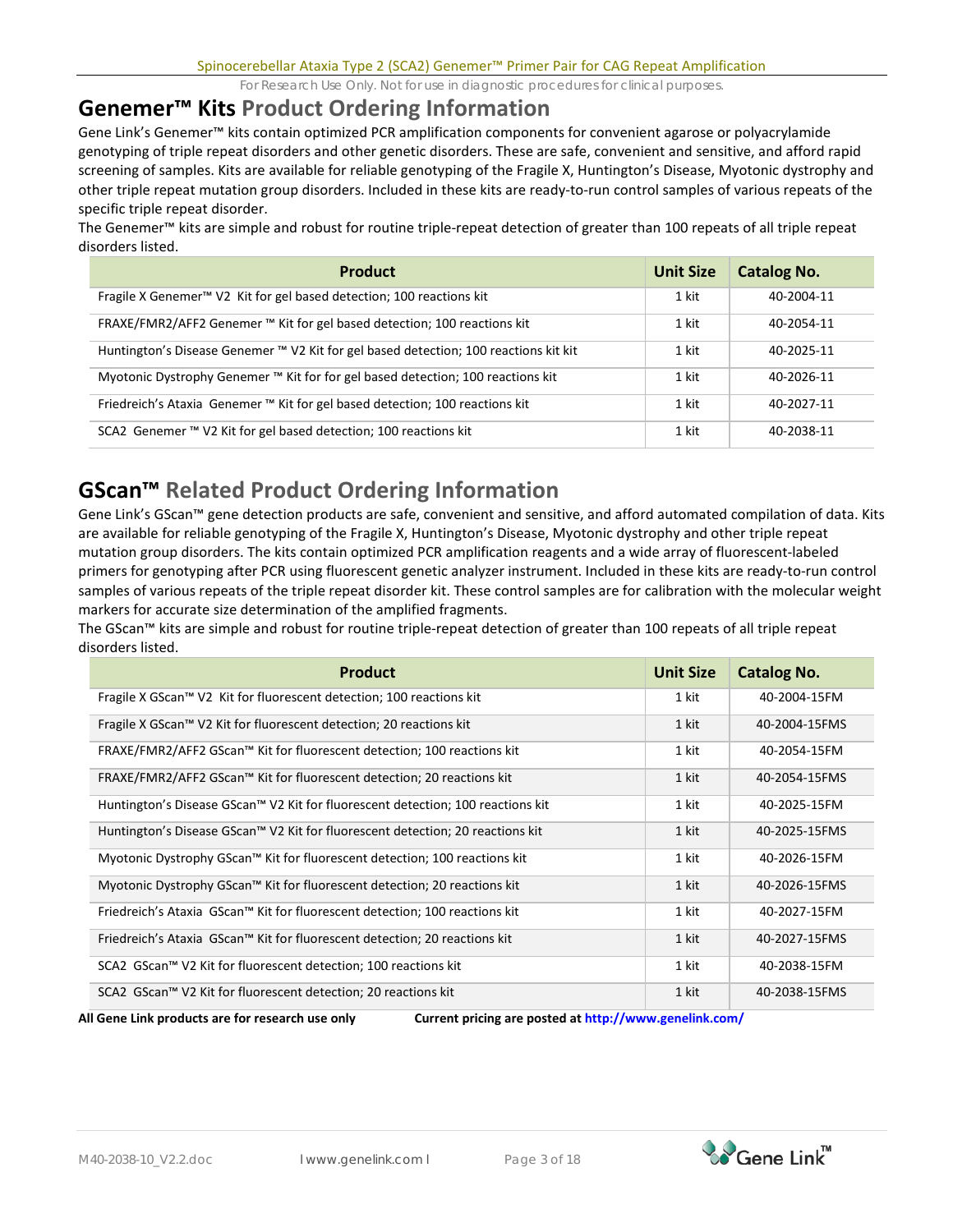# **Genemer™ Kits Product Ordering Information**

Gene Link's Genemer™ kits contain optimized PCR amplification components for convenient agarose or polyacrylamide genotyping of triple repeat disorders and other genetic disorders. These are safe, convenient and sensitive, and afford rapid screening of samples. Kits are available for reliable genotyping of the Fragile X, Huntington's Disease, Myotonic dystrophy and other triple repeat mutation group disorders. Included in these kits are ready-to-run control samples of various repeats of the specific triple repeat disorder.

The Genemer™ kits are simple and robust for routine triple-repeat detection of greater than 100 repeats of all triple repeat disorders listed.

| <b>Product</b>                                                                       | <b>Unit Size</b> | <b>Catalog No.</b> |
|--------------------------------------------------------------------------------------|------------------|--------------------|
| Fragile X Genemer <sup>™</sup> V2 Kit for gel based detection; 100 reactions kit     | 1 kit            | 40-2004-11         |
| FRAXE/FMR2/AFF2 Genemer ™ Kit for gel based detection; 100 reactions kit             | 1 kit            | 40-2054-11         |
| Huntington's Disease Genemer ™ V2 Kit for gel based detection; 100 reactions kit kit | 1 kit            | 40-2025-11         |
| Myotonic Dystrophy Genemer ™ Kit for for gel based detection; 100 reactions kit      | 1 kit            | 40-2026-11         |
| Friedreich's Ataxia Genemer ™ Kit for gel based detection; 100 reactions kit         | 1 kit            | 40-2027-11         |
| SCA2 Genemer ™ V2 Kit for gel based detection; 100 reactions kit                     | 1 kit            | 40-2038-11         |

# **GScan™ Related Product Ordering Information**

Gene Link's GScan™ gene detection products are safe, convenient and sensitive, and afford automated compilation of data. Kits are available for reliable genotyping of the Fragile X, Huntington's Disease, Myotonic dystrophy and other triple repeat mutation group disorders. The kits contain optimized PCR amplification reagents and a wide array of fluorescent-labeled primers for genotyping after PCR using fluorescent genetic analyzer instrument. Included in these kits are ready-to-run control samples of various repeats of the triple repeat disorder kit. These control samples are for calibration with the molecular weight markers for accurate size determination of the amplified fragments.

The GScan™ kits are simple and robust for routine triple-repeat detection of greater than 100 repeats of all triple repeat disorders listed.

| <b>Product</b>                                                                  | <b>Unit Size</b> | <b>Catalog No.</b> |
|---------------------------------------------------------------------------------|------------------|--------------------|
| Fragile X GScan™ V2 Kit for fluorescent detection; 100 reactions kit            | 1 kit            | 40-2004-15FM       |
| Fragile X GScan™ V2 Kit for fluorescent detection; 20 reactions kit             | 1 kit            | 40-2004-15FMS      |
| FRAXE/FMR2/AFF2 GScan™ Kit for fluorescent detection; 100 reactions kit         | 1 kit            | 40-2054-15FM       |
| FRAXE/FMR2/AFF2 GScan™ Kit for fluorescent detection; 20 reactions kit          | 1 kit            | 40-2054-15FMS      |
| Huntington's Disease GScan™ V2 Kit for fluorescent detection; 100 reactions kit | 1 kit            | 40-2025-15FM       |
| Huntington's Disease GScan™ V2 Kit for fluorescent detection; 20 reactions kit  | 1 kit            | 40-2025-15FMS      |
| Myotonic Dystrophy GScan™ Kit for fluorescent detection; 100 reactions kit      | 1 kit            | 40-2026-15FM       |
| Myotonic Dystrophy GScan™ Kit for fluorescent detection; 20 reactions kit       | 1 kit            | 40-2026-15FMS      |
| Friedreich's Ataxia GScan™ Kit for fluorescent detection; 100 reactions kit     | 1 kit            | 40-2027-15FM       |
| Friedreich's Ataxia GScan™ Kit for fluorescent detection; 20 reactions kit      | 1 kit            | 40-2027-15FMS      |
| SCA2 GScan™ V2 Kit for fluorescent detection; 100 reactions kit                 | 1 kit            | 40-2038-15FM       |
| SCA2 GScan™ V2 Kit for fluorescent detection; 20 reactions kit                  | 1 kit            | 40-2038-15FMS      |



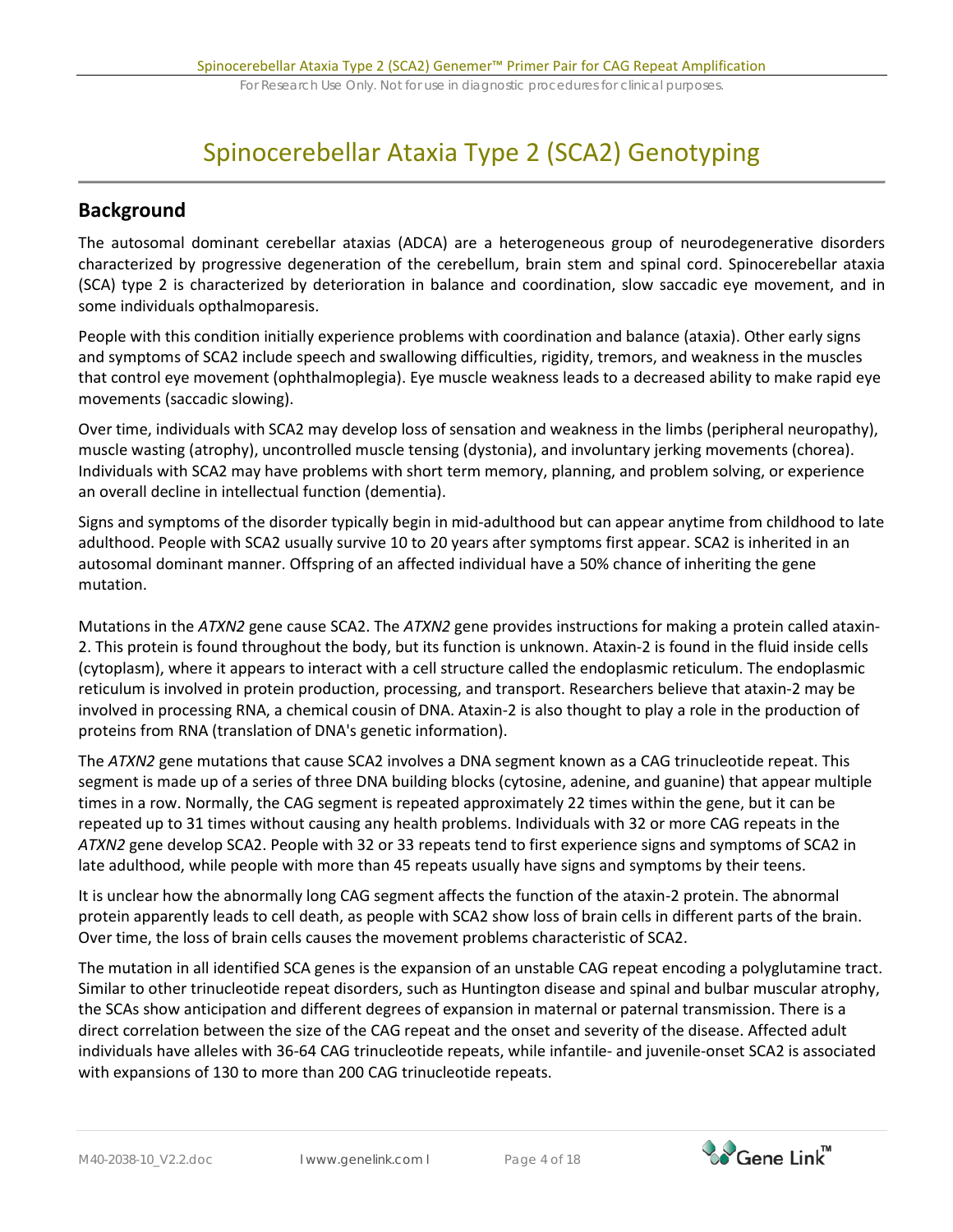# Spinocerebellar Ataxia Type 2 (SCA2) Genotyping

# **Background**

The autosomal dominant cerebellar ataxias (ADCA) are a heterogeneous group of neurodegenerative disorders characterized by progressive degeneration of the cerebellum, brain stem and spinal cord. Spinocerebellar ataxia (SCA) type 2 is characterized by deterioration in balance and coordination, slow saccadic eye movement, and in some individuals opthalmoparesis.

People with this condition initially experience problems with coordination and balance (ataxia). Other early signs and symptoms of SCA2 include speech and swallowing difficulties, rigidity, tremors, and weakness in the muscles that control eye movement (ophthalmoplegia). Eye muscle weakness leads to a decreased ability to make rapid eye movements (saccadic slowing).

Over time, individuals with SCA2 may develop loss of sensation and weakness in the limbs (peripheral neuropathy), muscle wasting (atrophy), uncontrolled muscle tensing (dystonia), and involuntary jerking movements (chorea). Individuals with SCA2 may have problems with short term memory, planning, and problem solving, or experience an overall decline in intellectual function (dementia).

Signs and symptoms of the disorder typically begin in mid-adulthood but can appear anytime from childhood to late adulthood. People with SCA2 usually survive 10 to 20 years after symptoms first appear. SCA2 is inherited in an autosomal dominant manner. Offspring of an affected individual have a 50% chance of inheriting the gene mutation.

Mutations in the *ATXN2* gene cause SCA2. The *ATXN2* gene provides instructions for making a protein called ataxin-2. This protein is found throughout the body, but its function is unknown. Ataxin-2 is found in the fluid inside cells (cytoplasm), where it appears to interact with a cell structure called the endoplasmic reticulum. The endoplasmic reticulum is involved in protein production, processing, and transport. Researchers believe that ataxin-2 may be involved in processing RNA, a chemical cousin of DNA. Ataxin-2 is also thought to play a role in the production of proteins from RNA (translation of DNA's genetic information).

The *ATXN2* gene mutations that cause SCA2 involves a DNA segment known as a CAG trinucleotide repeat. This segment is made up of a series of three DNA building blocks (cytosine, adenine, and guanine) that appear multiple times in a row. Normally, the CAG segment is repeated approximately 22 times within the gene, but it can be repeated up to 31 times without causing any health problems. Individuals with 32 or more CAG repeats in the *ATXN2* gene develop SCA2. People with 32 or 33 repeats tend to first experience signs and symptoms of SCA2 in late adulthood, while people with more than 45 repeats usually have signs and symptoms by their teens.

It is unclear how the abnormally long CAG segment affects the function of the ataxin-2 protein. The abnormal protein apparently leads to cell death, as people with SCA2 show loss of brain cells in different parts of the brain. Over time, the loss of brain cells causes the movement problems characteristic of SCA2.

The mutation in all identified SCA genes is the expansion of an unstable CAG repeat encoding a polyglutamine tract. Similar to other trinucleotide repeat disorders, such as Huntington disease and spinal and bulbar muscular atrophy, the SCAs show anticipation and different degrees of expansion in maternal or paternal transmission. There is a direct correlation between the size of the CAG repeat and the onset and severity of the disease. Affected adult individuals have alleles with 36-64 CAG trinucleotide repeats, while infantile- and juvenile-onset SCA2 is associated with expansions of 130 to more than 200 CAG trinucleotide repeats.

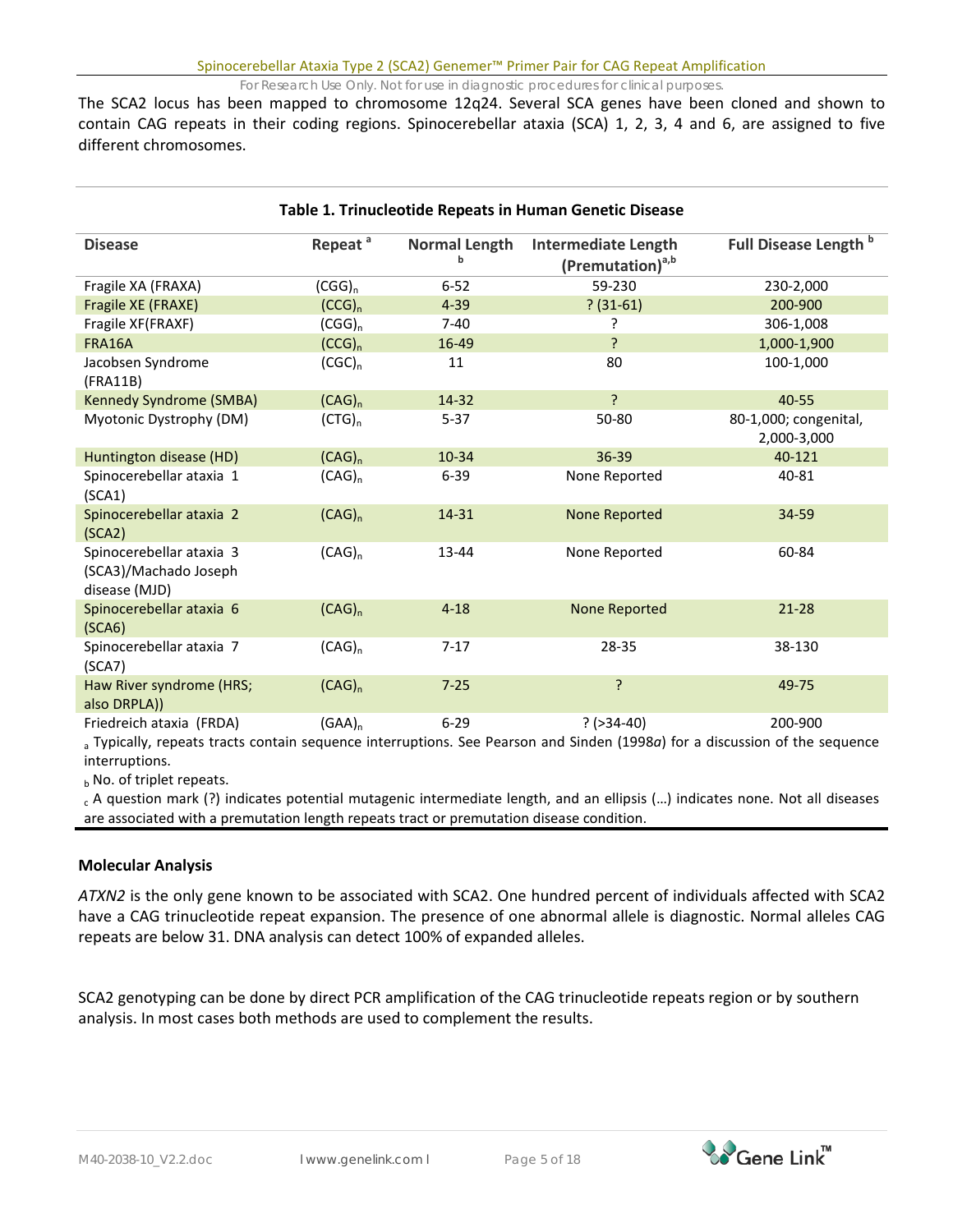The SCA2 locus has been mapped to chromosome 12q24. Several SCA genes have been cloned and shown to contain CAG repeats in their coding regions. Spinocerebellar ataxia (SCA) 1, 2, 3, 4 and 6, are assigned to five different chromosomes.

| Table 1. Trinucleotide Repeats in Human Genetic Disease                                                                     |                     |                           |                                                            |                                      |  |
|-----------------------------------------------------------------------------------------------------------------------------|---------------------|---------------------------|------------------------------------------------------------|--------------------------------------|--|
| <b>Disease</b>                                                                                                              | Repeat <sup>a</sup> | <b>Normal Length</b><br>b | <b>Intermediate Length</b><br>(Premutation) <sup>a,b</sup> | Full Disease Length <sup>b</sup>     |  |
| Fragile XA (FRAXA)                                                                                                          | $(CGG)_n$           | $6 - 52$                  | 59-230                                                     | 230-2,000                            |  |
| Fragile XE (FRAXE)                                                                                                          | (CCG) <sub>n</sub>  | $4 - 39$                  | $? (31-61)$                                                | 200-900                              |  |
| Fragile XF(FRAXF)                                                                                                           | $(CGG)_n$           | $7 - 40$                  | P                                                          | 306-1,008                            |  |
| <b>FRA16A</b>                                                                                                               | (CCG) <sub>n</sub>  | 16-49                     | <sup>?</sup>                                               | 1,000-1,900                          |  |
| Jacobsen Syndrome<br>(FRA11B)                                                                                               | $(CGC)_n$           | 11                        | 80                                                         | 100-1,000                            |  |
| Kennedy Syndrome (SMBA)                                                                                                     | $(CAG)_n$           | 14-32                     | ?                                                          | 40-55                                |  |
| Myotonic Dystrophy (DM)                                                                                                     | (CTG) <sub>n</sub>  | $5 - 37$                  | 50-80                                                      | 80-1,000; congenital,<br>2,000-3,000 |  |
| Huntington disease (HD)                                                                                                     | $(CAG)_n$           | 10-34                     | 36-39                                                      | 40-121                               |  |
| Spinocerebellar ataxia 1<br>(SCA1)                                                                                          | $(CAG)_n$           | $6 - 39$                  | None Reported                                              | 40-81                                |  |
| Spinocerebellar ataxia 2<br>(SCA2)                                                                                          | $(CAG)_n$           | 14-31                     | <b>None Reported</b>                                       | 34-59                                |  |
| Spinocerebellar ataxia 3<br>(SCA3)/Machado Joseph<br>disease (MJD)                                                          | $(CAG)_n$           | 13-44                     | None Reported                                              | 60-84                                |  |
| Spinocerebellar ataxia 6<br>(SCA6)                                                                                          | $(CAG)_n$           | $4 - 18$                  | <b>None Reported</b>                                       | $21 - 28$                            |  |
| Spinocerebellar ataxia 7<br>(SCA7)                                                                                          | $(CAG)_n$           | $7-17$                    | 28-35                                                      | 38-130                               |  |
| Haw River syndrome (HRS;<br>also DRPLA))                                                                                    | $(CAG)_n$           | $7 - 25$                  | ç.                                                         | 49-75                                |  |
| Friedreich ataxia (FRDA)                                                                                                    | $(GAA)_n$           | $6 - 29$                  | $?$ (>34-40)                                               | 200-900                              |  |
| a Typically, repeats tracts contain sequence interruptions. See Pearson and Sinden (1998a) for a discussion of the sequence |                     |                           |                                                            |                                      |  |

interruptions.

 $h$  No. of triplet repeats.

 $_c$  A question mark (?) indicates potential mutagenic intermediate length, and an ellipsis (...) indicates none. Not all diseases are associated with a premutation length repeats tract or premutation disease condition.

### **Molecular Analysis**

*ATXN2* is the only gene known to be associated with SCA2. One hundred percent of individuals affected with SCA2 have a CAG trinucleotide repeat expansion. The presence of one abnormal allele is diagnostic. Normal alleles CAG repeats are below 31. DNA analysis can detect 100% of expanded alleles.

SCA2 genotyping can be done by direct PCR amplification of the CAG trinucleotide repeats region or by southern analysis. In most cases both methods are used to complement the results.

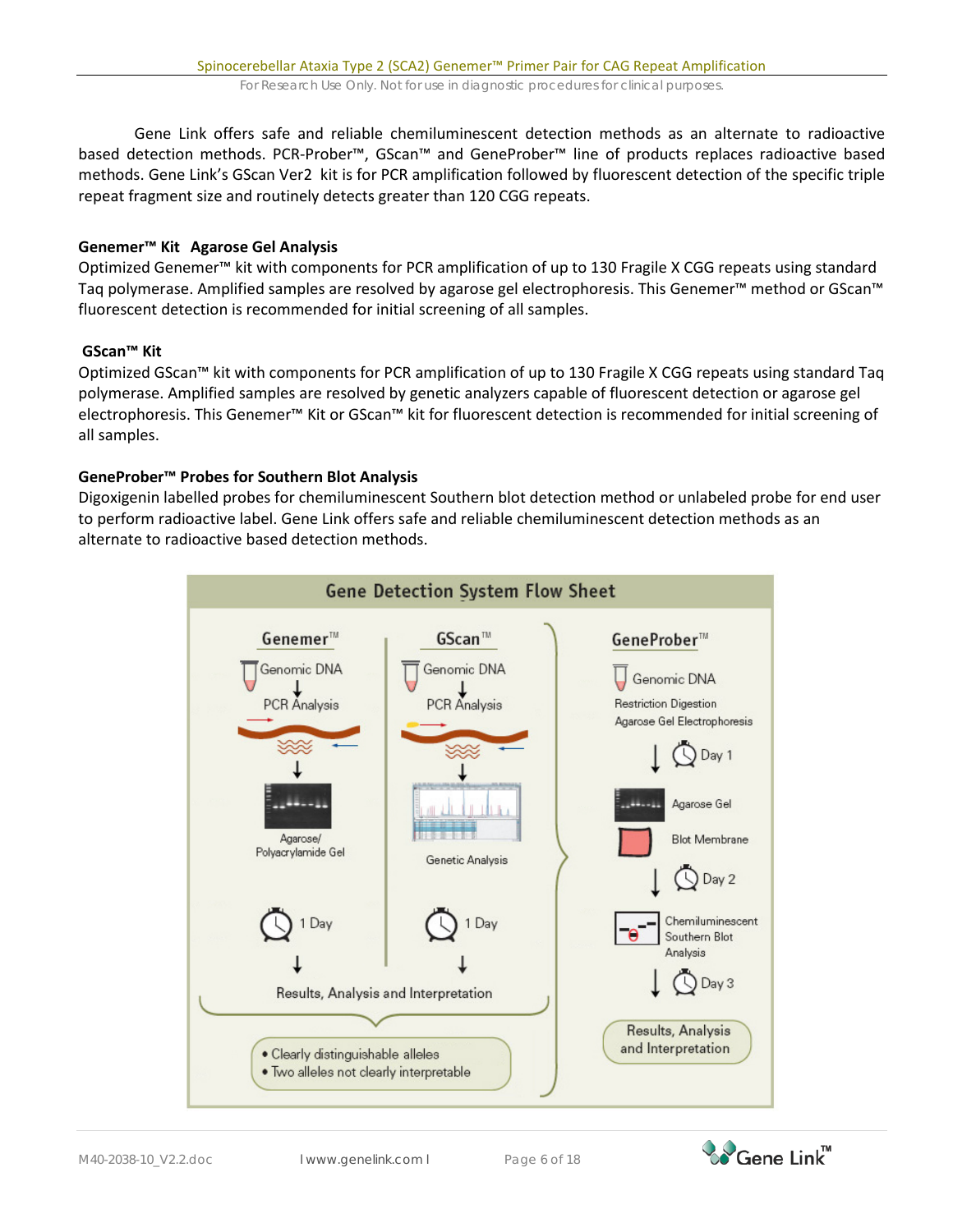Gene Link offers safe and reliable chemiluminescent detection methods as an alternate to radioactive based detection methods. PCR-Prober™, GScan™ and GeneProber™ line of products replaces radioactive based methods. Gene Link's GScan Ver2 kit is for PCR amplification followed by fluorescent detection of the specific triple repeat fragment size and routinely detects greater than 120 CGG repeats.

### **Genemer™ Kit Agarose Gel Analysis**

Optimized Genemer™ kit with components for PCR amplification of up to 130 Fragile X CGG repeats using standard Taq polymerase. Amplified samples are resolved by agarose gel electrophoresis. This Genemer™ method or GScan™ fluorescent detection is recommended for initial screening of all samples.

## **GScan™ Kit**

Optimized GScan™ kit with components for PCR amplification of up to 130 Fragile X CGG repeats using standard Taq polymerase. Amplified samples are resolved by genetic analyzers capable of fluorescent detection or agarose gel electrophoresis. This Genemer™ Kit or GScan™ kit for fluorescent detection is recommended for initial screening of all samples.

### **GeneProber™ Probes for Southern Blot Analysis**

Digoxigenin labelled probes for chemiluminescent Southern blot detection method or unlabeled probe for end user to perform radioactive label. Gene Link offers safe and reliable chemiluminescent detection methods as an alternate to radioactive based detection methods.

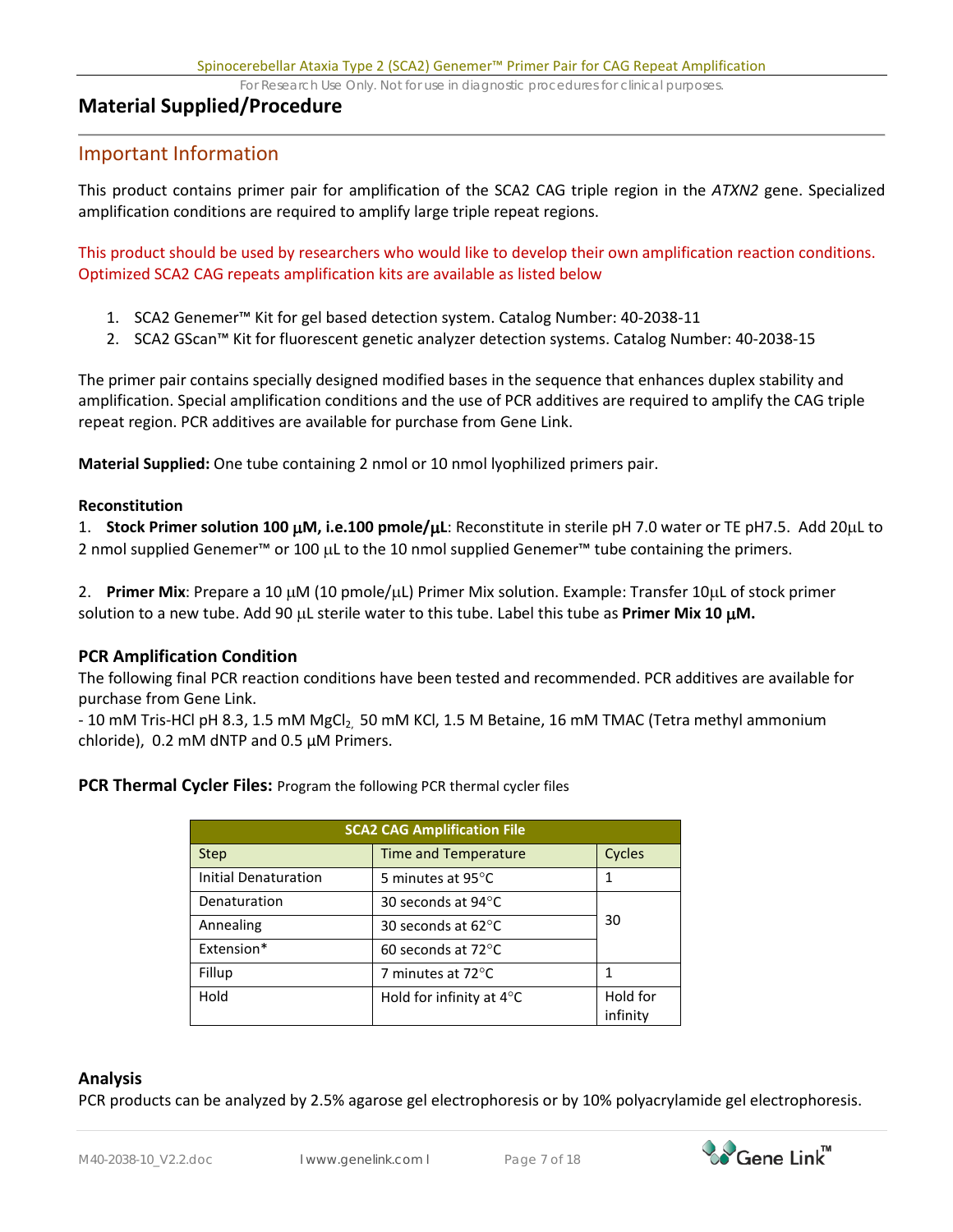# **Material Supplied/Procedure**

## Important Information

This product contains primer pair for amplification of the SCA2 CAG triple region in the *ATXN2* gene. Specialized amplification conditions are required to amplify large triple repeat regions.

This product should be used by researchers who would like to develop their own amplification reaction conditions. Optimized SCA2 CAG repeats amplification kits are available as listed below

- 1. SCA2 Genemer™ Kit for gel based detection system. Catalog Number: 40-2038-11
- 2. SCA2 GScan™ Kit for fluorescent genetic analyzer detection systems. Catalog Number: 40-2038-15

The primer pair contains specially designed modified bases in the sequence that enhances duplex stability and amplification. Special amplification conditions and the use of PCR additives are required to amplify the CAG triple repeat region. PCR additives are available for purchase from Gene Link.

**Material Supplied:** One tube containing 2 nmol or 10 nmol lyophilized primers pair.

#### **Reconstitution**

1. **Stock Primer solution 100** µ**M, i.e.100 pmole/**µ**L**: Reconstitute in sterile pH 7.0 water or TE pH7.5. Add 20µL to 2 nmol supplied Genemer™ or 100 µL to the 10 nmol supplied Genemer™ tube containing the primers.

2. **Primer Mix**: Prepare a 10 µM (10 pmole/µL) Primer Mix solution. Example: Transfer 10µL of stock primer solution to a new tube. Add 90 µL sterile water to this tube. Label this tube as **Primer Mix 10** µ**M.**

### **PCR Amplification Condition**

The following final PCR reaction conditions have been tested and recommended. PCR additives are available for purchase from Gene Link.

- 10 mM Tris-HCl pH 8.3, 1.5 mM MgCl<sub>2</sub>, 50 mM KCl, 1.5 M Betaine, 16 mM TMAC (Tetra methyl ammonium chloride), 0.2 mM dNTP and 0.5 µM Primers.

**PCR Thermal Cycler Files: Program the following PCR thermal cycler files** 

| <b>SCA2 CAG Amplification File</b> |                                    |                      |  |  |
|------------------------------------|------------------------------------|----------------------|--|--|
| <b>Step</b>                        | <b>Time and Temperature</b>        | Cycles               |  |  |
| Initial Denaturation               | 5 minutes at 95°C                  | 1                    |  |  |
| Denaturation                       | 30 seconds at $94^{\circ}$ C       |                      |  |  |
| Annealing                          | 30 seconds at $62^{\circ}$ C       | 30                   |  |  |
| Extension*                         | 60 seconds at $72^{\circ}$ C       |                      |  |  |
| Fillup                             | 7 minutes at 72°C                  | 1                    |  |  |
| Hold                               | Hold for infinity at $4^{\circ}$ C | Hold for<br>infinity |  |  |

### **Analysis**

PCR products can be analyzed by 2.5% agarose gel electrophoresis or by 10% polyacrylamide gel electrophoresis.

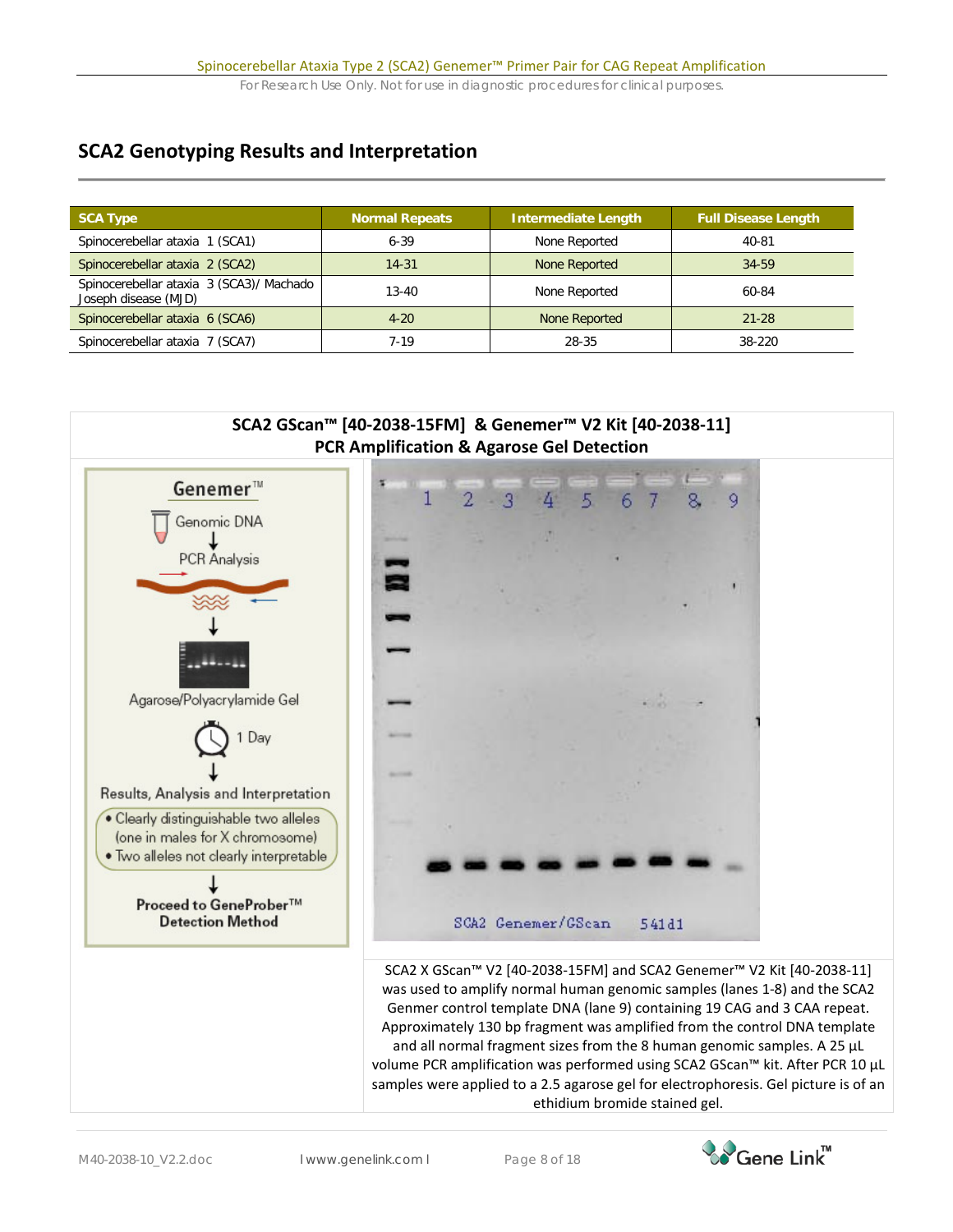# **SCA2 Genotyping Results and Interpretation**

| <b>SCA Type</b>                                                  | Normal Repeats | <b>Intermediate Length</b> | <b>Full Disease Length</b> |
|------------------------------------------------------------------|----------------|----------------------------|----------------------------|
| Spinocerebellar ataxia 1 (SCA1)                                  | $6 - 39$       | None Reported              | 40-81                      |
| Spinocerebellar ataxia 2 (SCA2)                                  | $14 - 31$      | None Reported              | 34-59                      |
| Spinocerebellar ataxia 3 (SCA3)/ Machado<br>Joseph disease (MJD) | $13 - 40$      | None Reported              | 60-84                      |
| Spinocerebellar ataxia 6 (SCA6)                                  | $4 - 20$       | None Reported              | $21 - 28$                  |
| Spinocerebellar ataxia 7 (SCA7)                                  | 7-19           | 28-35                      | 38-220                     |



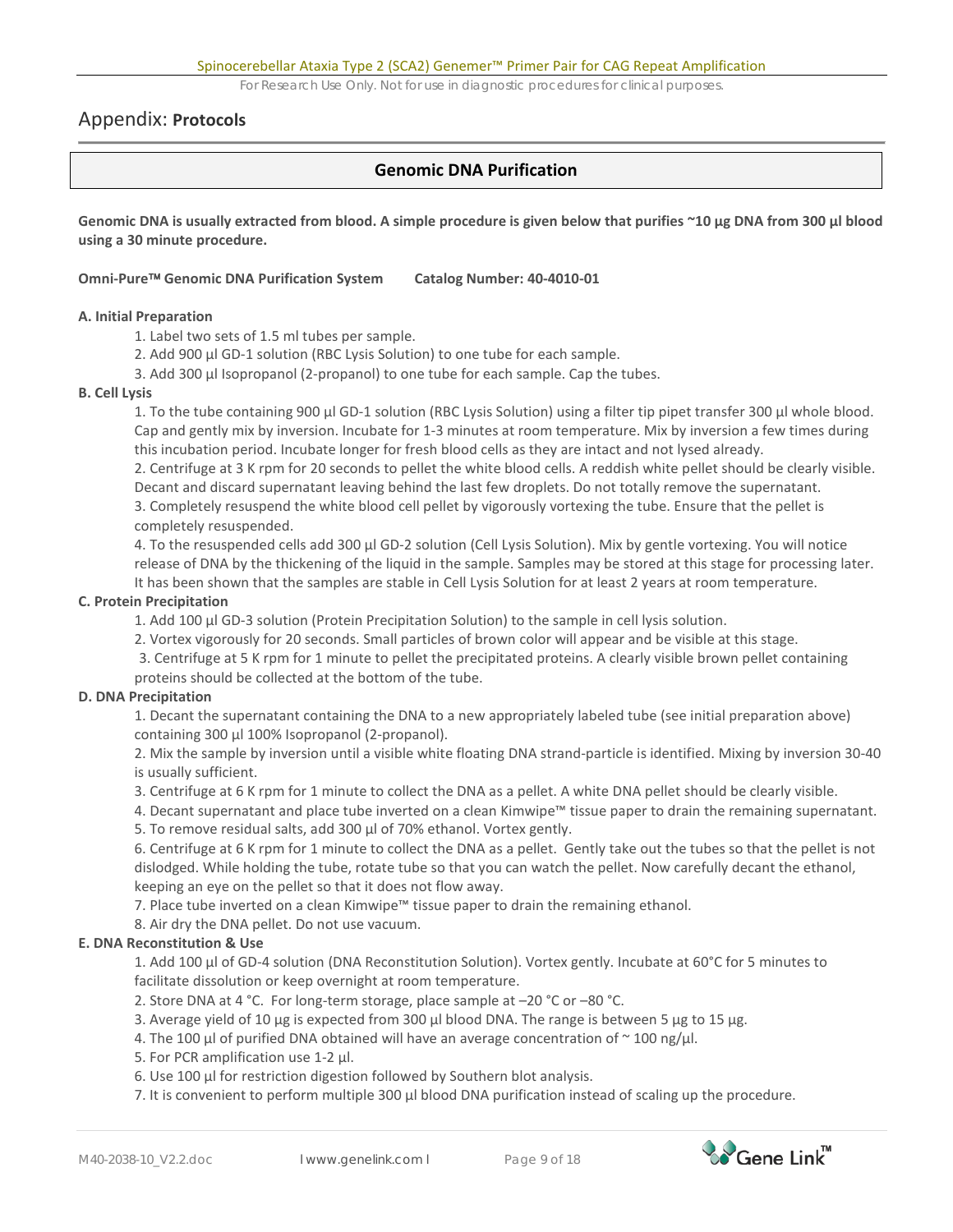## Appendix: **Protocols**

## **Genomic DNA Purification**

**Genomic DNA is usually extracted from blood. A simple procedure is given below that purifies ~10 µg DNA from 300 µl blood using a 30 minute procedure.** 

#### **Omni-Pure Genomic DNA Purification System Catalog Number: 40-4010-01**

#### **A. Initial Preparation**

1. Label two sets of 1.5 ml tubes per sample.

- 2. Add 900 µl GD-1 solution (RBC Lysis Solution) to one tube for each sample.
- 3. Add 300 µl Isopropanol (2-propanol) to one tube for each sample. Cap the tubes.

#### **B. Cell Lysis**

1. To the tube containing 900 µl GD-1 solution (RBC Lysis Solution) using a filter tip pipet transfer 300 µl whole blood. Cap and gently mix by inversion. Incubate for 1-3 minutes at room temperature. Mix by inversion a few times during this incubation period. Incubate longer for fresh blood cells as they are intact and not lysed already.

2. Centrifuge at 3 K rpm for 20 seconds to pellet the white blood cells. A reddish white pellet should be clearly visible. Decant and discard supernatant leaving behind the last few droplets. Do not totally remove the supernatant.

3. Completely resuspend the white blood cell pellet by vigorously vortexing the tube. Ensure that the pellet is completely resuspended.

4. To the resuspended cells add 300 µl GD-2 solution (Cell Lysis Solution). Mix by gentle vortexing. You will notice release of DNA by the thickening of the liquid in the sample. Samples may be stored at this stage for processing later. It has been shown that the samples are stable in Cell Lysis Solution for at least 2 years at room temperature.

#### **C. Protein Precipitation**

1. Add 100 µl GD-3 solution (Protein Precipitation Solution) to the sample in cell lysis solution.

2. Vortex vigorously for 20 seconds. Small particles of brown color will appear and be visible at this stage.

3. Centrifuge at 5 K rpm for 1 minute to pellet the precipitated proteins. A clearly visible brown pellet containing proteins should be collected at the bottom of the tube.

#### **D. DNA Precipitation**

1. Decant the supernatant containing the DNA to a new appropriately labeled tube (see initial preparation above) containing 300 µl 100% Isopropanol (2-propanol).

2. Mix the sample by inversion until a visible white floating DNA strand-particle is identified. Mixing by inversion 30-40 is usually sufficient.

3. Centrifuge at 6 K rpm for 1 minute to collect the DNA as a pellet. A white DNA pellet should be clearly visible.

4. Decant supernatant and place tube inverted on a clean Kimwipe™ tissue paper to drain the remaining supernatant.

5. To remove residual salts, add 300 µl of 70% ethanol. Vortex gently.

6. Centrifuge at 6 K rpm for 1 minute to collect the DNA as a pellet. Gently take out the tubes so that the pellet is not dislodged. While holding the tube, rotate tube so that you can watch the pellet. Now carefully decant the ethanol, keeping an eye on the pellet so that it does not flow away.

7. Place tube inverted on a clean Kimwipe™ tissue paper to drain the remaining ethanol.

#### 8. Air dry the DNA pellet. Do not use vacuum.

#### **E. DNA Reconstitution & Use**

1. Add 100 µl of GD-4 solution (DNA Reconstitution Solution). Vortex gently. Incubate at 60°C for 5 minutes to facilitate dissolution or keep overnight at room temperature.

- 2. Store DNA at 4 °C. For long-term storage, place sample at –20 °C or –80 °C.
- 3. Average yield of 10  $\mu$ g is expected from 300  $\mu$ l blood DNA. The range is between 5  $\mu$ g to 15  $\mu$ g.
- 4. The 100 µl of purified DNA obtained will have an average concentration of  $\sim$  100 ng/µl.
- 5. For PCR amplification use 1-2 µl.
- 6. Use 100 µl for restriction digestion followed by Southern blot analysis.

7. It is convenient to perform multiple 300 µl blood DNA purification instead of scaling up the procedure.

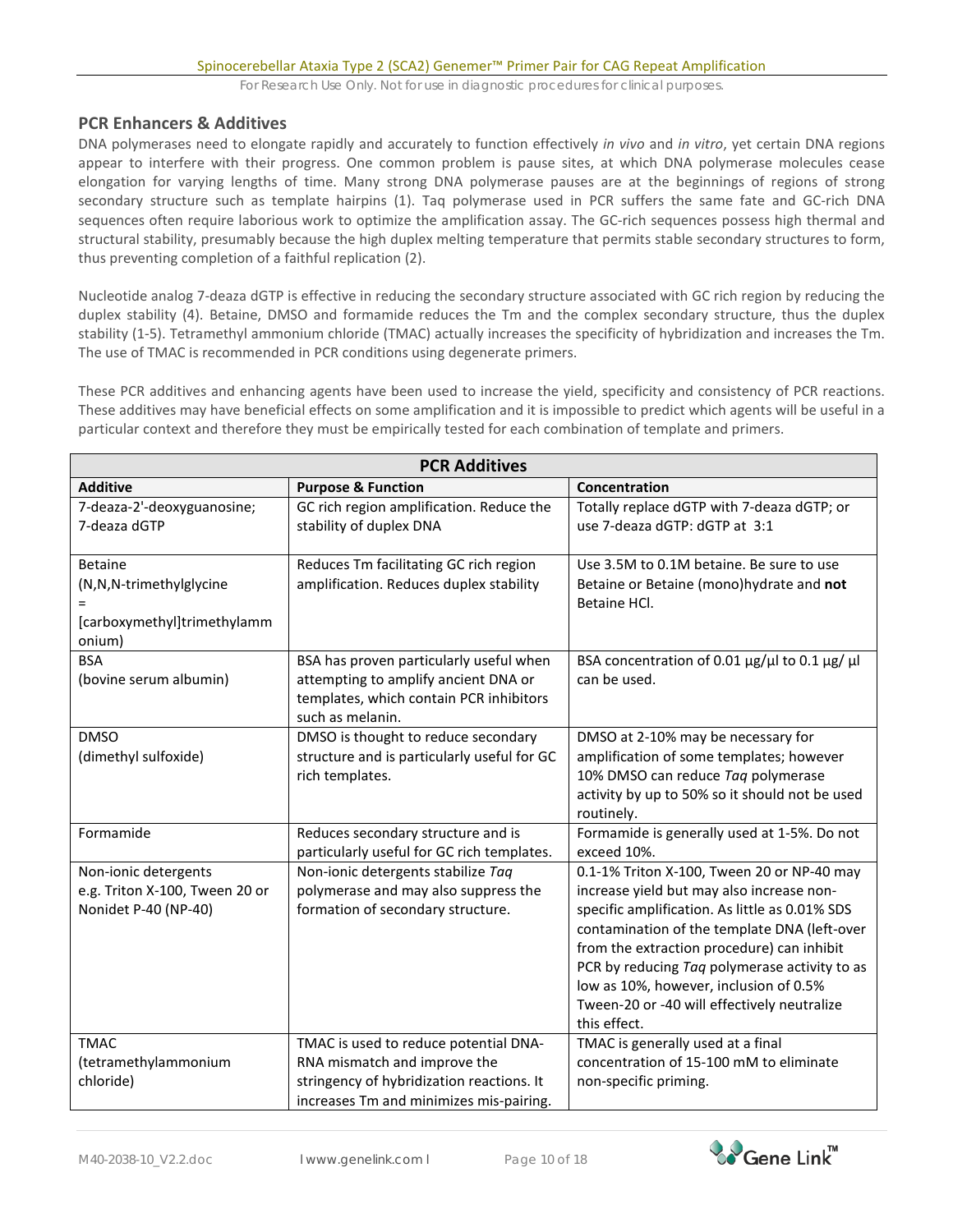### **PCR Enhancers & Additives**

DNA polymerases need to elongate rapidly and accurately to function effectively *in vivo* and *in vitro*, yet certain DNA regions appear to interfere with their progress. One common problem is pause sites, at which DNA polymerase molecules cease elongation for varying lengths of time. Many strong DNA polymerase pauses are at the beginnings of regions of strong secondary structure such as template hairpins (1). Taq polymerase used in PCR suffers the same fate and GC-rich DNA sequences often require laborious work to optimize the amplification assay. The GC-rich sequences possess high thermal and structural stability, presumably because the high duplex melting temperature that permits stable secondary structures to form, thus preventing completion of a faithful replication (2).

Nucleotide analog 7-deaza dGTP is effective in reducing the secondary structure associated with GC rich region by reducing the duplex stability (4). Betaine, DMSO and formamide reduces the Tm and the complex secondary structure, thus the duplex stability (1-5). Tetramethyl ammonium chloride (TMAC) actually increases the specificity of hybridization and increases the Tm. The use of TMAC is recommended in PCR conditions using degenerate primers.

These PCR additives and enhancing agents have been used to increase the yield, specificity and consistency of PCR reactions. These additives may have beneficial effects on some amplification and it is impossible to predict which agents will be useful in a particular context and therefore they must be empirically tested for each combination of template and primers.

| <b>PCR Additives</b>                                                               |                                                                                                                                                               |                                                                                                                                                                                                                                                                                                                                                                                                   |  |  |  |
|------------------------------------------------------------------------------------|---------------------------------------------------------------------------------------------------------------------------------------------------------------|---------------------------------------------------------------------------------------------------------------------------------------------------------------------------------------------------------------------------------------------------------------------------------------------------------------------------------------------------------------------------------------------------|--|--|--|
| <b>Additive</b>                                                                    | <b>Purpose &amp; Function</b>                                                                                                                                 | Concentration                                                                                                                                                                                                                                                                                                                                                                                     |  |  |  |
| 7-deaza-2'-deoxyguanosine;<br>7-deaza dGTP                                         | GC rich region amplification. Reduce the<br>stability of duplex DNA                                                                                           | Totally replace dGTP with 7-deaza dGTP; or<br>use 7-deaza dGTP: dGTP at 3:1                                                                                                                                                                                                                                                                                                                       |  |  |  |
| <b>Betaine</b><br>(N,N,N-trimethylglycine<br>[carboxymethyl]trimethylamm<br>onium) | Reduces Tm facilitating GC rich region<br>amplification. Reduces duplex stability                                                                             | Use 3.5M to 0.1M betaine. Be sure to use<br>Betaine or Betaine (mono)hydrate and not<br>Betaine HCl.                                                                                                                                                                                                                                                                                              |  |  |  |
| <b>BSA</b><br>(bovine serum albumin)                                               | BSA has proven particularly useful when<br>attempting to amplify ancient DNA or<br>templates, which contain PCR inhibitors<br>such as melanin.                | BSA concentration of 0.01 $\mu$ g/ $\mu$ l to 0.1 $\mu$ g/ $\mu$ l<br>can be used.                                                                                                                                                                                                                                                                                                                |  |  |  |
| <b>DMSO</b><br>(dimethyl sulfoxide)                                                | DMSO is thought to reduce secondary<br>structure and is particularly useful for GC<br>rich templates.                                                         | DMSO at 2-10% may be necessary for<br>amplification of some templates; however<br>10% DMSO can reduce Taq polymerase<br>activity by up to 50% so it should not be used<br>routinely.                                                                                                                                                                                                              |  |  |  |
| Formamide                                                                          | Reduces secondary structure and is<br>particularly useful for GC rich templates.                                                                              | Formamide is generally used at 1-5%. Do not<br>exceed 10%.                                                                                                                                                                                                                                                                                                                                        |  |  |  |
| Non-ionic detergents<br>e.g. Triton X-100, Tween 20 or<br>Nonidet P-40 (NP-40)     | Non-ionic detergents stabilize Taq<br>polymerase and may also suppress the<br>formation of secondary structure.                                               | 0.1-1% Triton X-100, Tween 20 or NP-40 may<br>increase yield but may also increase non-<br>specific amplification. As little as 0.01% SDS<br>contamination of the template DNA (left-over<br>from the extraction procedure) can inhibit<br>PCR by reducing Taq polymerase activity to as<br>low as 10%, however, inclusion of 0.5%<br>Tween-20 or -40 will effectively neutralize<br>this effect. |  |  |  |
| <b>TMAC</b><br>(tetramethylammonium<br>chloride)                                   | TMAC is used to reduce potential DNA-<br>RNA mismatch and improve the<br>stringency of hybridization reactions. It<br>increases Tm and minimizes mis-pairing. | TMAC is generally used at a final<br>concentration of 15-100 mM to eliminate<br>non-specific priming.                                                                                                                                                                                                                                                                                             |  |  |  |

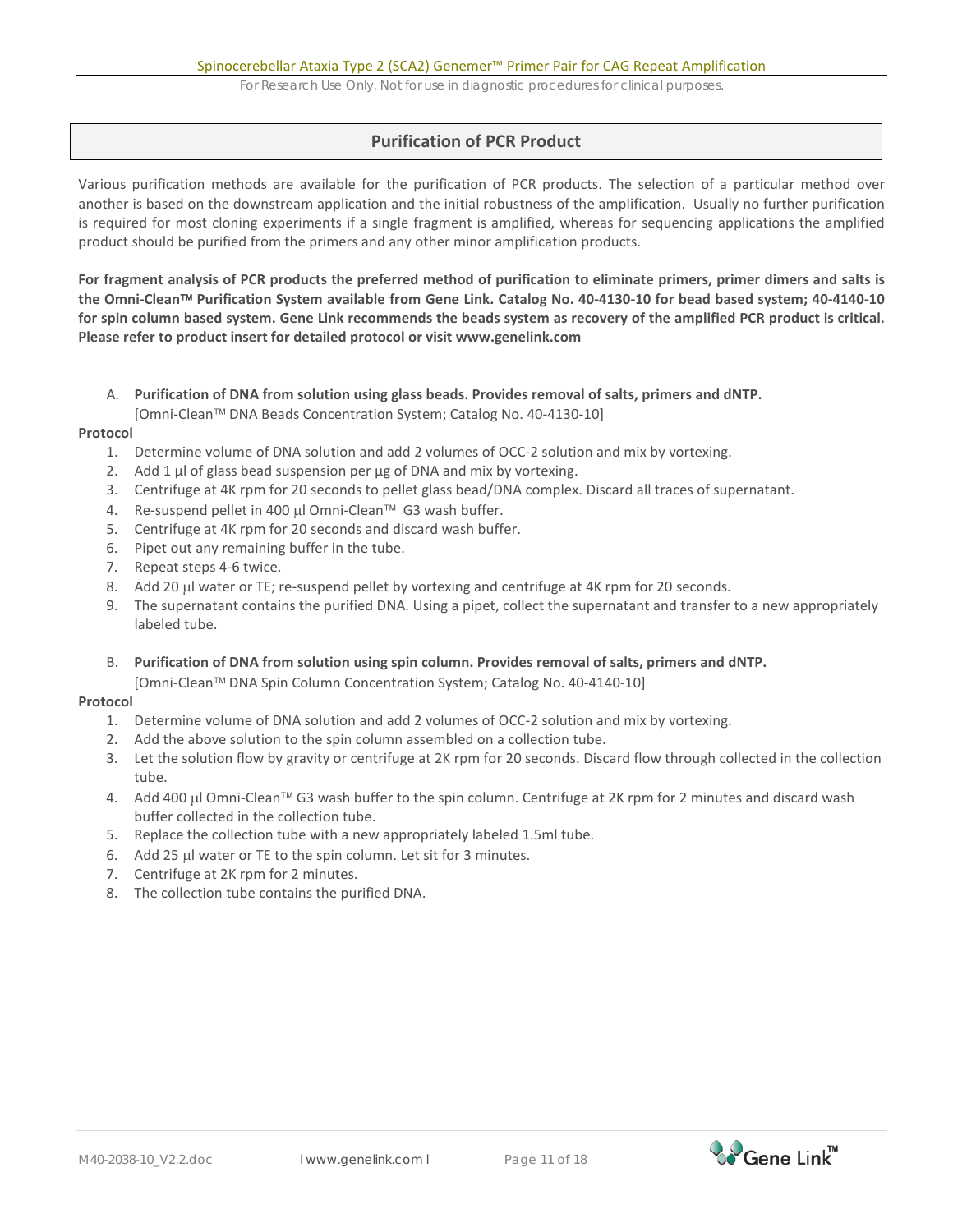## **Purification of PCR Product**

Various purification methods are available for the purification of PCR products. The selection of a particular method over another is based on the downstream application and the initial robustness of the amplification. Usually no further purification is required for most cloning experiments if a single fragment is amplified, whereas for sequencing applications the amplified product should be purified from the primers and any other minor amplification products.

**For fragment analysis of PCR products the preferred method of purification to eliminate primers, primer dimers and salts is the Omni-Clean Purification System available from Gene Link. Catalog No. 40-4130-10 for bead based system; 40-4140-10 for spin column based system. Gene Link recommends the beads system as recovery of the amplified PCR product is critical. Please refer to product insert for detailed protocol or visit [www.genelink.com](http://www.genelink.com/)** 

- A. **Purification of DNA from solution using glass beads. Provides removal of salts, primers and dNTP.** 
	- [Omni-Clean<sup>™</sup> DNA Beads Concentration System; Catalog No. 40-4130-10]

#### **Protocol**

- 1. Determine volume of DNA solution and add 2 volumes of OCC-2 solution and mix by vortexing.
- 2. Add 1 μl of glass bead suspension per μg of DNA and mix by vortexing.
- 3. Centrifuge at 4K rpm for 20 seconds to pellet glass bead/DNA complex. Discard all traces of supernatant.
- 4. Re-suspend pellet in 400 µl Omni-Clean™ G3 wash buffer.
- 5. Centrifuge at 4K rpm for 20 seconds and discard wash buffer.
- 6. Pipet out any remaining buffer in the tube.
- 7. Repeat steps 4-6 twice.
- 8. Add 20 µl water or TE; re-suspend pellet by vortexing and centrifuge at 4K rpm for 20 seconds.
- 9. The supernatant contains the purified DNA. Using a pipet, collect the supernatant and transfer to a new appropriately labeled tube.
- B. **Purification of DNA from solution using spin column. Provides removal of salts, primers and dNTP.**

[Omni-Clean<sup>™</sup> DNA Spin Column Concentration System; Catalog No. 40-4140-10]

#### **Protocol**

- 1. Determine volume of DNA solution and add 2 volumes of OCC-2 solution and mix by vortexing.
- 2. Add the above solution to the spin column assembled on a collection tube.
- 3. Let the solution flow by gravity or centrifuge at 2K rpm for 20 seconds. Discard flow through collected in the collection tube.
- 4. Add 400 µl Omni-Clean™ G3 wash buffer to the spin column. Centrifuge at 2K rpm for 2 minutes and discard wash buffer collected in the collection tube.
- 5. Replace the collection tube with a new appropriately labeled 1.5ml tube.
- 6. Add 25 µl water or TE to the spin column. Let sit for 3 minutes.
- 7. Centrifuge at 2K rpm for 2 minutes.
- 8. The collection tube contains the purified DNA.

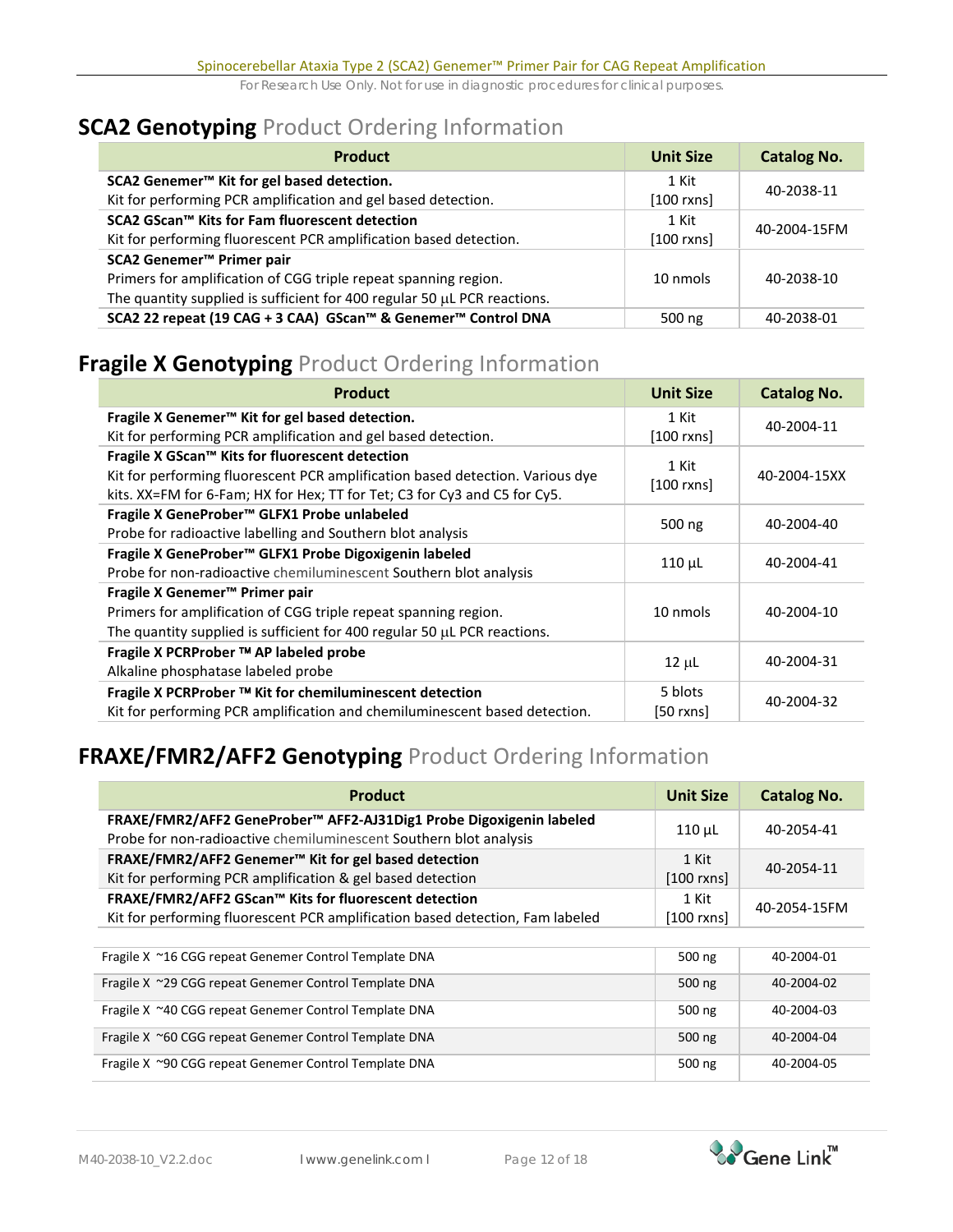# **SCA2 Genotyping** Product Ordering Information

| <b>Product</b>                                                                | <b>Unit Size</b> | <b>Catalog No.</b> |  |
|-------------------------------------------------------------------------------|------------------|--------------------|--|
| SCA2 Genemer <sup>™</sup> Kit for gel based detection.                        | 1 Kit            | 40-2038-11         |  |
| Kit for performing PCR amplification and gel based detection.                 | $[100$ rxns]     |                    |  |
| SCA2 GScan™ Kits for Fam fluorescent detection                                | 1 Kit            |                    |  |
| Kit for performing fluorescent PCR amplification based detection.             | $[100$ rxns]     | 40-2004-15FM       |  |
| SCA2 Genemer <sup>™</sup> Primer pair                                         |                  |                    |  |
| Primers for amplification of CGG triple repeat spanning region.               | 10 nmols         | 40-2038-10         |  |
| The quantity supplied is sufficient for 400 regular 50 $\mu$ L PCR reactions. |                  |                    |  |
| SCA2 22 repeat (19 CAG + 3 CAA) GScan™ & Genemer™ Control DNA                 | 500 ng           | 40-2038-01         |  |

# **Fragile X Genotyping** Product Ordering Information

| <b>Product</b>                                                                | <b>Unit Size</b> | <b>Catalog No.</b> |
|-------------------------------------------------------------------------------|------------------|--------------------|
| Fragile X Genemer <sup>™</sup> Kit for gel based detection.                   | 1 Kit            | 40-2004-11         |
| Kit for performing PCR amplification and gel based detection.                 | $[100$ rxns]     |                    |
| Fragile X GScan™ Kits for fluorescent detection                               | 1 Kit            |                    |
| Kit for performing fluorescent PCR amplification based detection. Various dye | $[100$ rxns $]$  | 40-2004-15XX       |
| kits. XX=FM for 6-Fam; HX for Hex; TT for Tet; C3 for Cy3 and C5 for Cy5.     |                  |                    |
| Fragile X GeneProber™ GLFX1 Probe unlabeled                                   |                  | 40-2004-40         |
| Probe for radioactive labelling and Southern blot analysis                    | 500 ng           |                    |
| Fragile X GeneProber™ GLFX1 Probe Digoxigenin labeled                         |                  | 40-2004-41         |
| Probe for non-radioactive chemiluminescent Southern blot analysis             | $110 \mu L$      |                    |
| Fragile X Genemer <sup>™</sup> Primer pair                                    |                  |                    |
| Primers for amplification of CGG triple repeat spanning region.               | 10 nmols         | 40-2004-10         |
| The quantity supplied is sufficient for 400 regular 50 $\mu$ L PCR reactions. |                  |                    |
| Fragile X PCRProber ™ AP labeled probe                                        |                  |                    |
| Alkaline phosphatase labeled probe                                            | $12 \mu L$       | 40-2004-31         |
| Fragile X PCRProber ™ Kit for chemiluminescent detection                      | 5 blots          |                    |
| Kit for performing PCR amplification and chemiluminescent based detection.    | $[50$ rxns]      | 40-2004-32         |

# **FRAXE/FMR2/AFF2 Genotyping** Product Ordering Information

| <b>Product</b>                                                                                                                           | <b>Unit Size</b>      | <b>Catalog No.</b> |
|------------------------------------------------------------------------------------------------------------------------------------------|-----------------------|--------------------|
| FRAXE/FMR2/AFF2 GeneProber™ AFF2-AJ31Dig1 Probe Digoxigenin labeled<br>Probe for non-radioactive chemiluminescent Southern blot analysis | $110 \mu$ L           | 40-2054-41         |
| FRAXE/FMR2/AFF2 Genemer™ Kit for gel based detection<br>Kit for performing PCR amplification & gel based detection                       | 1 Kit<br>$[100$ rxns] | 40-2054-11         |
| FRAXE/FMR2/AFF2 GScan™ Kits for fluorescent detection<br>Kit for performing fluorescent PCR amplification based detection, Fam labeled   | 1 Kit<br>$[100$ rxns] | 40-2054-15FM       |
| Fragile X ~16 CGG repeat Genemer Control Template DNA                                                                                    | $500$ ng              | 40-2004-01         |
| Fragile X ~29 CGG repeat Genemer Control Template DNA                                                                                    | $500$ ng              | 40-2004-02         |
| Fragile X ~40 CGG repeat Genemer Control Template DNA                                                                                    | $500$ ng              | 40-2004-03         |
| Fragile X ~60 CGG repeat Genemer Control Template DNA                                                                                    | $500$ ng              | 40-2004-04         |
| Fragile X ~90 CGG repeat Genemer Control Template DNA                                                                                    | $500$ ng              | 40-2004-05         |

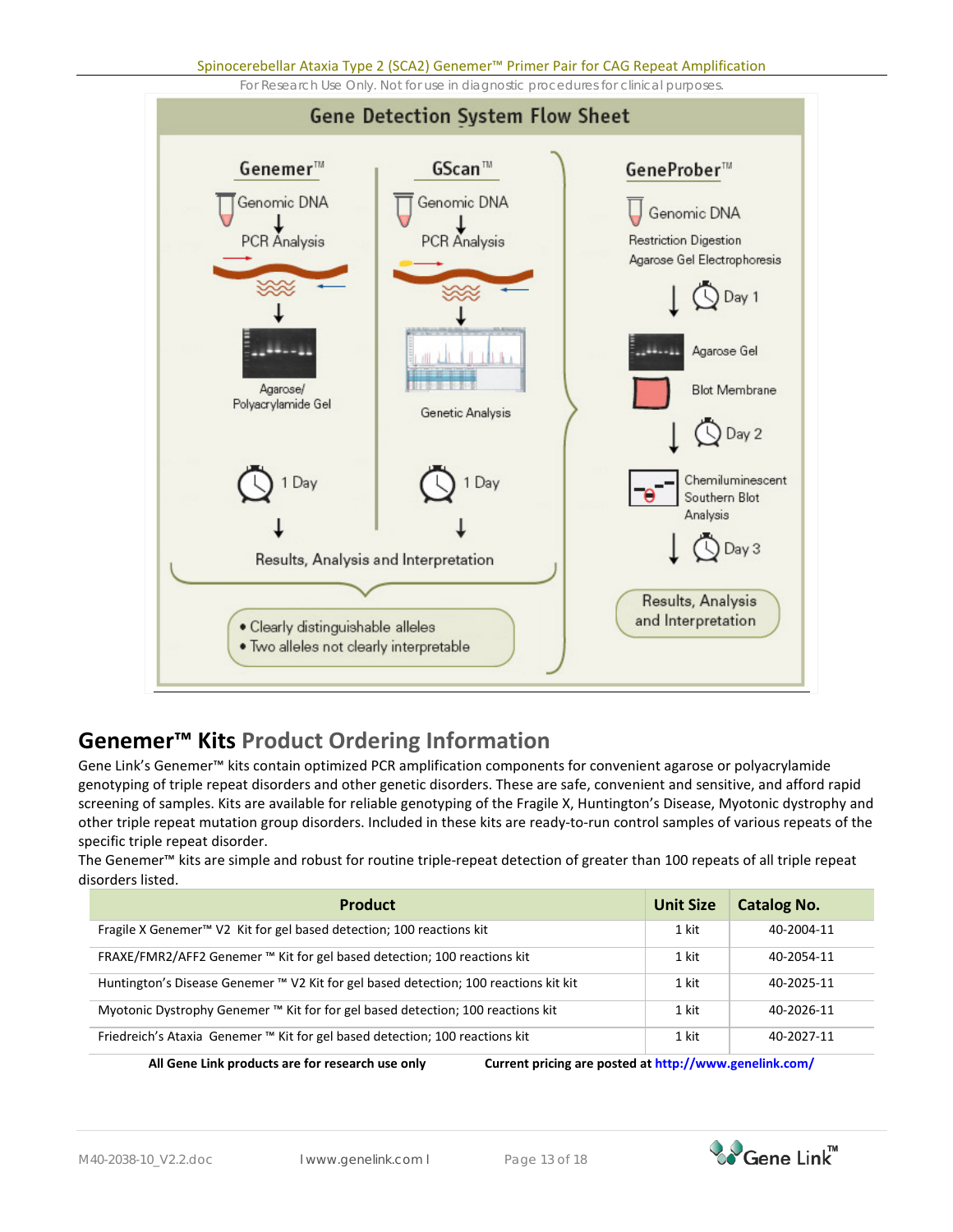Spinocerebellar Ataxia Type 2 (SCA2) Genemer™ Primer Pair for CAG Repeat Amplification

For Research Use Only. Not for use in diagnostic procedures for clinical purposes.



# **Genemer™ Kits Product Ordering Information**

Gene Link's Genemer™ kits contain optimized PCR amplification components for convenient agarose or polyacrylamide genotyping of triple repeat disorders and other genetic disorders. These are safe, convenient and sensitive, and afford rapid screening of samples. Kits are available for reliable genotyping of the Fragile X, Huntington's Disease, Myotonic dystrophy and other triple repeat mutation group disorders. Included in these kits are ready-to-run control samples of various repeats of the specific triple repeat disorder.

The Genemer™ kits are simple and robust for routine triple-repeat detection of greater than 100 repeats of all triple repeat disorders listed.

| <b>Product</b>                                                                       | <b>Unit Size</b> | <b>Catalog No.</b> |
|--------------------------------------------------------------------------------------|------------------|--------------------|
| Fragile X Genemer <sup>™</sup> V2 Kit for gel based detection; 100 reactions kit     | 1 kit            | 40-2004-11         |
| FRAXE/FMR2/AFF2 Genemer ™ Kit for gel based detection; 100 reactions kit             | 1 kit            | 40-2054-11         |
| Huntington's Disease Genemer ™ V2 Kit for gel based detection; 100 reactions kit kit | 1 kit            | 40-2025-11         |
| Myotonic Dystrophy Genemer ™ Kit for for gel based detection; 100 reactions kit      | 1 kit            | 40-2026-11         |
| Friedreich's Ataxia Genemer ™ Kit for gel based detection; 100 reactions kit         | 1 kit            | 40-2027-11         |

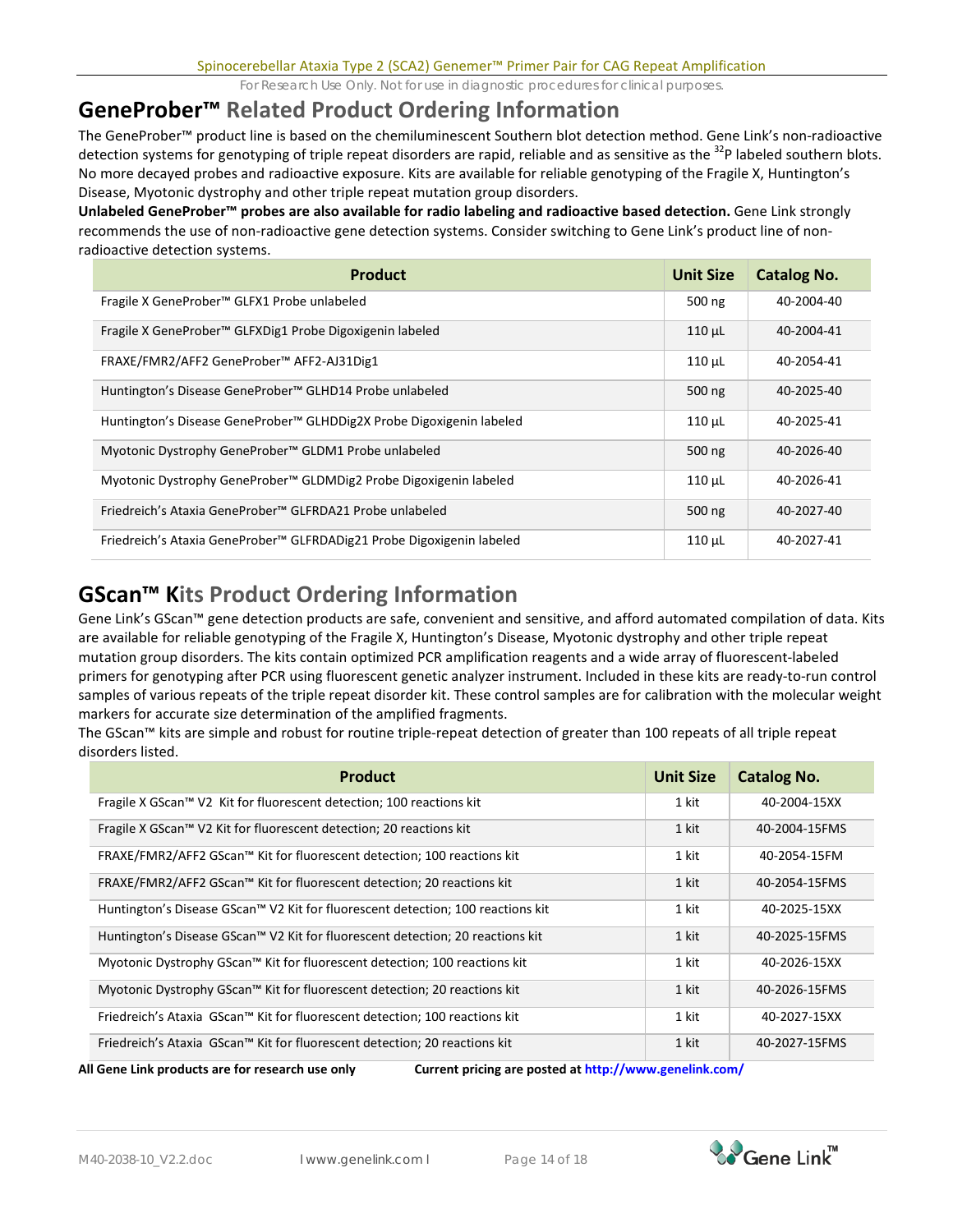# **GeneProber™ Related Product Ordering Information**

The GeneProber™ product line is based on the chemiluminescent Southern blot detection method. Gene Link's non-radioactive detection systems for genotyping of triple repeat disorders are rapid, reliable and as sensitive as the <sup>32</sup>P labeled southern blots. No more decayed probes and radioactive exposure. Kits are available for reliable genotyping of the Fragile X, Huntington's Disease, Myotonic dystrophy and other triple repeat mutation group disorders.

**Unlabeled GeneProber™ probes are also available for radio labeling and radioactive based detection.** Gene Link strongly recommends the use of non-radioactive gene detection systems. Consider switching to Gene Link's product line of nonradioactive detection systems.

| <b>Product</b>                                                                   | Unit Size   | <b>Catalog No.</b> |
|----------------------------------------------------------------------------------|-------------|--------------------|
| Fragile X GeneProber™ GLFX1 Probe unlabeled                                      | 500 ng      | 40-2004-40         |
| Fragile X GeneProber™ GLFXDig1 Probe Digoxigenin labeled                         | $110$ $\mu$ | 40-2004-41         |
| FRAXE/FMR2/AFF2 GeneProber™ AFF2-AJ31Dig1                                        | $110 \mu L$ | 40-2054-41         |
| Huntington's Disease GeneProber™ GLHD14 Probe unlabeled                          | 500 ng      | 40-2025-40         |
| Huntington's Disease GeneProber <sup>™</sup> GLHDDig2X Probe Digoxigenin labeled | $110 \mu L$ | 40-2025-41         |
| Myotonic Dystrophy GeneProber™ GLDM1 Probe unlabeled                             | 500 ng      | 40-2026-40         |
| Myotonic Dystrophy GeneProber™ GLDMDig2 Probe Digoxigenin labeled                | $110 \mu L$ | 40-2026-41         |
| Friedreich's Ataxia GeneProber™ GLFRDA21 Probe unlabeled                         | 500 ng      | 40-2027-40         |
| Friedreich's Ataxia GeneProber™ GLFRDADig21 Probe Digoxigenin labeled            | $110 \mu$ L | 40-2027-41         |

# **GScan™ Kits Product Ordering Information**

Gene Link's GScan™ gene detection products are safe, convenient and sensitive, and afford automated compilation of data. Kits are available for reliable genotyping of the Fragile X, Huntington's Disease, Myotonic dystrophy and other triple repeat mutation group disorders. The kits contain optimized PCR amplification reagents and a wide array of fluorescent-labeled primers for genotyping after PCR using fluorescent genetic analyzer instrument. Included in these kits are ready-to-run control samples of various repeats of the triple repeat disorder kit. These control samples are for calibration with the molecular weight markers for accurate size determination of the amplified fragments.

The GScan™ kits are simple and robust for routine triple-repeat detection of greater than 100 repeats of all triple repeat disorders listed.

| <b>Product</b>                                                                  | <b>Unit Size</b> | <b>Catalog No.</b> |
|---------------------------------------------------------------------------------|------------------|--------------------|
| Fragile X GScan™ V2 Kit for fluorescent detection; 100 reactions kit            | 1 kit            | 40-2004-15XX       |
| Fragile X GScan™ V2 Kit for fluorescent detection; 20 reactions kit             | 1 kit            | 40-2004-15FMS      |
| FRAXE/FMR2/AFF2 GScan™ Kit for fluorescent detection; 100 reactions kit         | 1 kit            | 40-2054-15FM       |
| FRAXE/FMR2/AFF2 GScan™ Kit for fluorescent detection; 20 reactions kit          | 1 kit            | 40-2054-15FMS      |
| Huntington's Disease GScan™ V2 Kit for fluorescent detection; 100 reactions kit | 1 kit            | 40-2025-15XX       |
| Huntington's Disease GScan™ V2 Kit for fluorescent detection; 20 reactions kit  | 1 kit            | 40-2025-15FMS      |
| Myotonic Dystrophy GScan™ Kit for fluorescent detection; 100 reactions kit      | 1 kit            | 40-2026-15XX       |
| Myotonic Dystrophy GScan™ Kit for fluorescent detection; 20 reactions kit       | 1 kit            | 40-2026-15FMS      |
| Friedreich's Ataxia GScan™ Kit for fluorescent detection; 100 reactions kit     | 1 kit            | 40-2027-15XX       |
| Friedreich's Ataxia GScan™ Kit for fluorescent detection; 20 reactions kit      | 1 kit            | 40-2027-15FMS      |

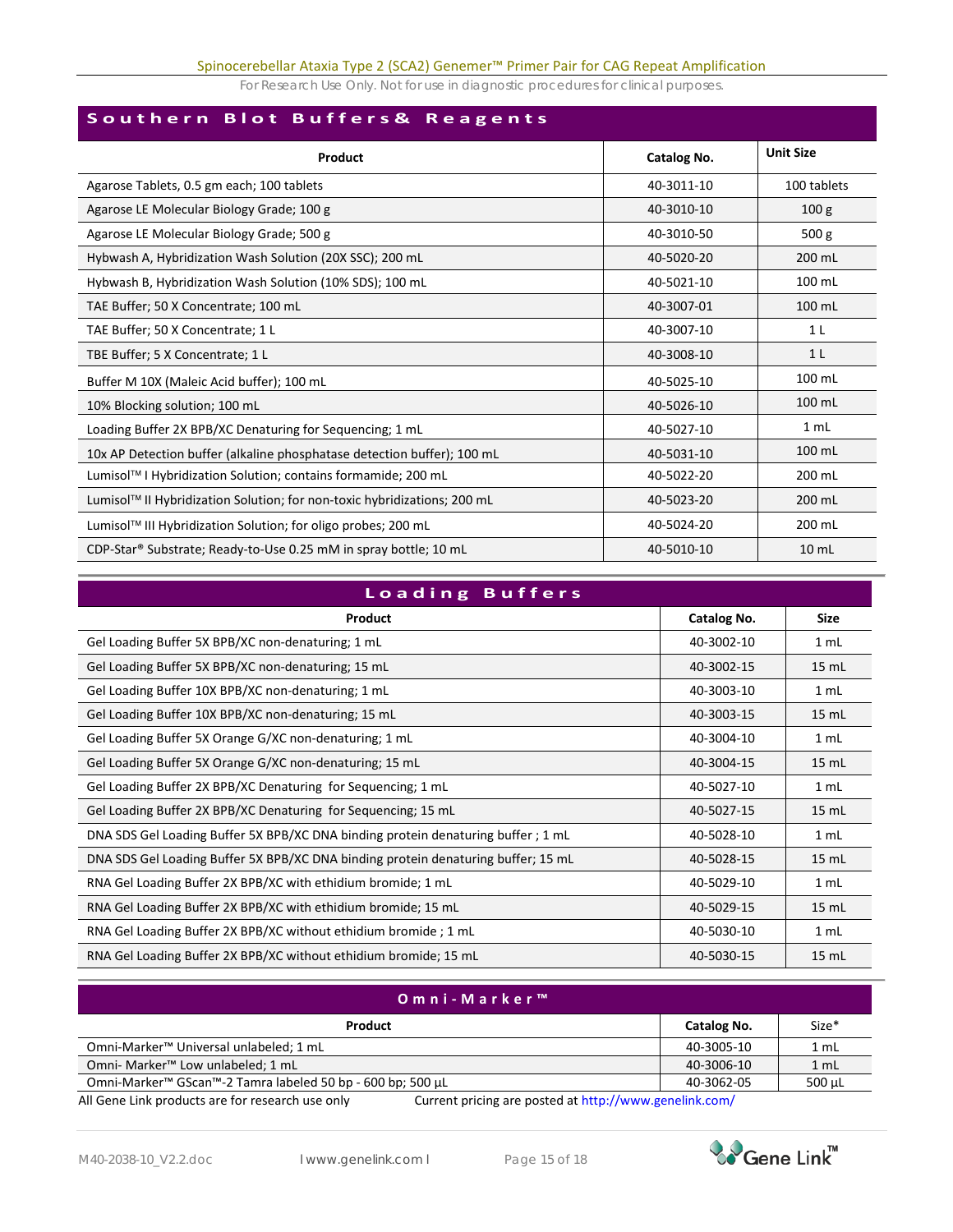## **Southern Blot Buffers& Reagents**

| Product                                                                      | Catalog No. | <b>Unit Size</b> |
|------------------------------------------------------------------------------|-------------|------------------|
| Agarose Tablets, 0.5 gm each; 100 tablets                                    | 40-3011-10  | 100 tablets      |
| Agarose LE Molecular Biology Grade; 100 g                                    | 40-3010-10  | 100 <sub>g</sub> |
| Agarose LE Molecular Biology Grade; 500 g                                    | 40-3010-50  | 500 <sub>g</sub> |
| Hybwash A, Hybridization Wash Solution (20X SSC); 200 mL                     | 40-5020-20  | 200 mL           |
| Hybwash B, Hybridization Wash Solution (10% SDS); 100 mL                     | 40-5021-10  | 100 mL           |
| TAE Buffer; 50 X Concentrate; 100 mL                                         | 40-3007-01  | 100 mL           |
| TAE Buffer; 50 X Concentrate; 1 L                                            | 40-3007-10  | 1 <sub>L</sub>   |
| TBE Buffer; 5 X Concentrate; 1 L                                             | 40-3008-10  | 1 <sub>L</sub>   |
| Buffer M 10X (Maleic Acid buffer); 100 mL                                    | 40-5025-10  | 100 mL           |
| 10% Blocking solution; 100 mL                                                | 40-5026-10  | 100 mL           |
| Loading Buffer 2X BPB/XC Denaturing for Sequencing; 1 mL                     | 40-5027-10  | 1 <sub>mL</sub>  |
| 10x AP Detection buffer (alkaline phosphatase detection buffer); 100 mL      | 40-5031-10  | 100 mL           |
| Lumisol™ I Hybridization Solution; contains formamide; 200 mL                | 40-5022-20  | 200 mL           |
| Lumisol™ II Hybridization Solution; for non-toxic hybridizations; 200 mL     | 40-5023-20  | 200 mL           |
| Lumisol™ III Hybridization Solution; for oligo probes; 200 mL                | 40-5024-20  | 200 mL           |
| CDP-Star <sup>®</sup> Substrate; Ready-to-Use 0.25 mM in spray bottle; 10 mL | 40-5010-10  | $10 \mathrm{m}$  |

| Loading Buffers                                                                   |             |         |
|-----------------------------------------------------------------------------------|-------------|---------|
| Product                                                                           | Catalog No. | Size    |
| Gel Loading Buffer 5X BPB/XC non-denaturing; 1 mL                                 | 40-3002-10  | 1 mL    |
| Gel Loading Buffer 5X BPB/XC non-denaturing; 15 mL                                | 40-3002-15  | $15$ mL |
| Gel Loading Buffer 10X BPB/XC non-denaturing; 1 mL                                | 40-3003-10  | 1 mL    |
| Gel Loading Buffer 10X BPB/XC non-denaturing; 15 mL                               | 40-3003-15  | 15 mL   |
| Gel Loading Buffer 5X Orange G/XC non-denaturing; 1 mL                            | 40-3004-10  | 1 mL    |
| Gel Loading Buffer 5X Orange G/XC non-denaturing; 15 mL                           | 40-3004-15  | 15 mL   |
| Gel Loading Buffer 2X BPB/XC Denaturing for Sequencing; 1 mL                      | 40-5027-10  | 1 mL    |
| Gel Loading Buffer 2X BPB/XC Denaturing for Sequencing; 15 mL                     | 40-5027-15  | 15 mL   |
| DNA SDS Gel Loading Buffer 5X BPB/XC DNA binding protein denaturing buffer ; 1 mL | 40-5028-10  | 1 mL    |
| DNA SDS Gel Loading Buffer 5X BPB/XC DNA binding protein denaturing buffer; 15 mL | 40-5028-15  | 15 mL   |
| RNA Gel Loading Buffer 2X BPB/XC with ethidium bromide; 1 mL                      | 40-5029-10  | 1 mL    |
| RNA Gel Loading Buffer 2X BPB/XC with ethidium bromide; 15 mL                     | 40-5029-15  | $15$ mL |
| RNA Gel Loading Buffer 2X BPB/XC without ethidium bromide; 1 mL                   | 40-5030-10  | 1 mL    |
| RNA Gel Loading Buffer 2X BPB/XC without ethidium bromide; 15 mL                  | 40-5030-15  | 15 mL   |

| Omni-Marker™                                                                                                                                                                                                                       |             |                 |
|------------------------------------------------------------------------------------------------------------------------------------------------------------------------------------------------------------------------------------|-------------|-----------------|
| Product                                                                                                                                                                                                                            | Catalog No. | Size*           |
| Omni-Marker <sup>™</sup> Universal unlabeled; 1 mL                                                                                                                                                                                 | 40-3005-10  | 1 <sub>mL</sub> |
| Omni- Marker <sup>™</sup> Low unlabeled; 1 mL                                                                                                                                                                                      | 40-3006-10  | 1 <sub>mL</sub> |
| Omni-Marker™ GScan™-2 Tamra labeled 50 bp - 600 bp; 500 µL                                                                                                                                                                         | 40-3062-05  | $500 \mu L$     |
| $\lambda$ . The contract of the contract of the contract of the contract of the contract of the contract of the contract of the contract of the contract of the contract of the contract of the contract of the contract of the co |             |                 |

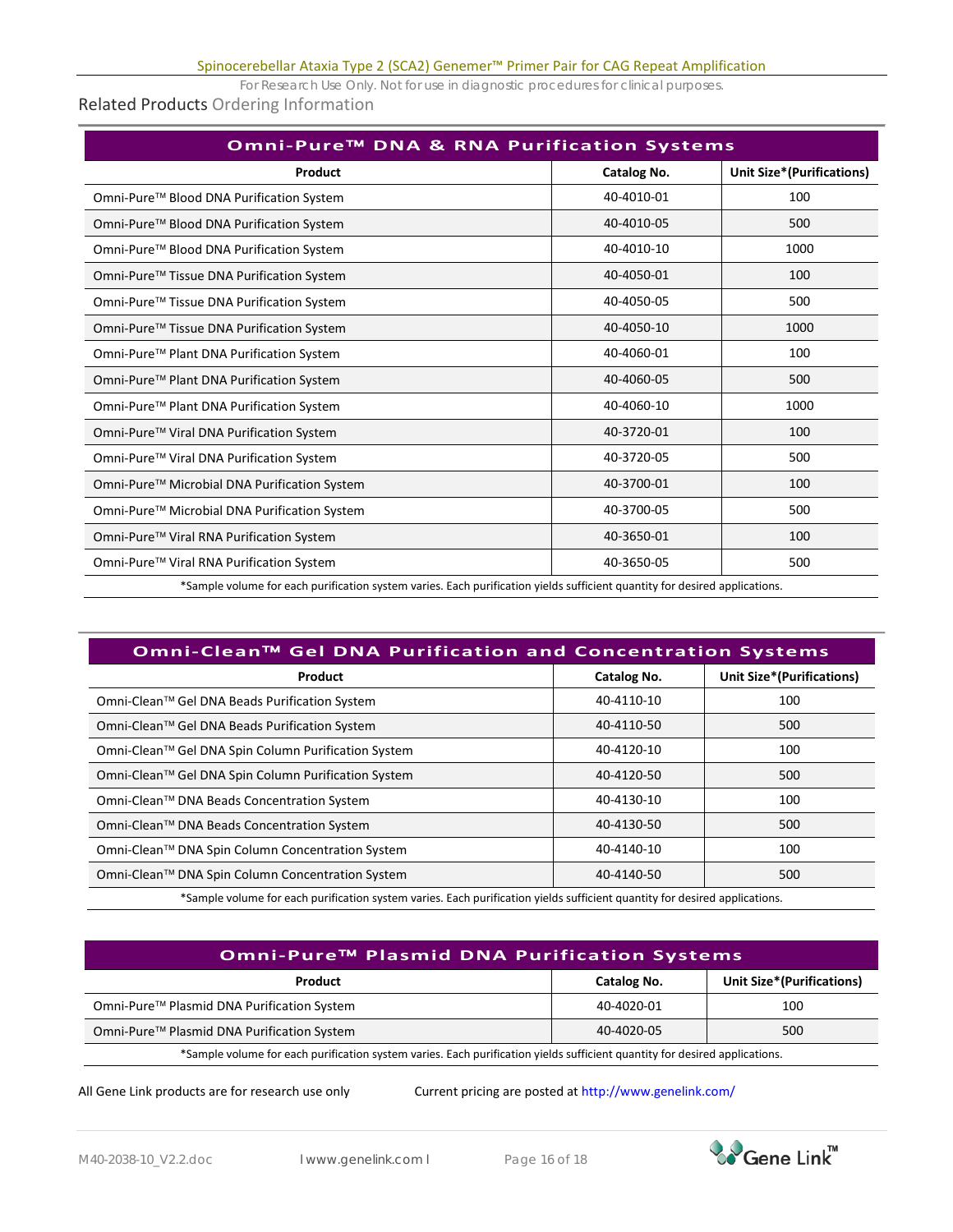# Related Products Ordering Information

| Omni-Pure <sup>™</sup> DNA & RNA Purification Systems                                                                      |                    |                                   |
|----------------------------------------------------------------------------------------------------------------------------|--------------------|-----------------------------------|
| Product                                                                                                                    | <b>Catalog No.</b> | <b>Unit Size*</b> (Purifications) |
| Omni-Pure™ Blood DNA Purification System                                                                                   | 40-4010-01         | 100                               |
| Omni-Pure™ Blood DNA Purification System                                                                                   | 40-4010-05         | 500                               |
| Omni-Pure™ Blood DNA Purification System                                                                                   | 40-4010-10         | 1000                              |
| Omni-Pure™ Tissue DNA Purification System                                                                                  | 40-4050-01         | 100                               |
| Omni-Pure™ Tissue DNA Purification System                                                                                  | 40-4050-05         | 500                               |
| Omni-Pure™ Tissue DNA Purification System                                                                                  | 40-4050-10         | 1000                              |
| Omni-Pure™ Plant DNA Purification System                                                                                   | 40-4060-01         | 100                               |
| Omni-Pure™ Plant DNA Purification System                                                                                   | 40-4060-05         | 500                               |
| Omni-Pure™ Plant DNA Purification System                                                                                   | 40-4060-10         | 1000                              |
| Omni-Pure™ Viral DNA Purification System                                                                                   | 40-3720-01         | 100                               |
| Omni-Pure™ Viral DNA Purification System                                                                                   | 40-3720-05         | 500                               |
| Omni-Pure™ Microbial DNA Purification System                                                                               | 40-3700-01         | 100                               |
| Omni-Pure™ Microbial DNA Purification System                                                                               | 40-3700-05         | 500                               |
| Omni-Pure™ Viral RNA Purification System                                                                                   | 40-3650-01         | 100                               |
| Omni-Pure™ Viral RNA Purification System                                                                                   | 40-3650-05         | 500                               |
| Sample volume for each purification system varies. Each purification vields sufficient quantity for desired applications * |                    |                                   |

\*Sample volume for each purification system varies. Each purification yields sufficient quantity for desired applications.

| Omni-Clean™ Gel DNA Purification and Concentration Systems                                                                 |             |                           |
|----------------------------------------------------------------------------------------------------------------------------|-------------|---------------------------|
| Product                                                                                                                    | Catalog No. | Unit Size*(Purifications) |
| Omni-Clean™ Gel DNA Beads Purification System                                                                              | 40-4110-10  | 100                       |
| Omni-Clean™ Gel DNA Beads Purification System                                                                              | 40-4110-50  | 500                       |
| Omni-Clean™ Gel DNA Spin Column Purification System                                                                        | 40-4120-10  | 100                       |
| Omni-Clean™ Gel DNA Spin Column Purification System                                                                        | 40-4120-50  | 500                       |
| Omni-Clean™ DNA Beads Concentration System                                                                                 | 40-4130-10  | 100                       |
| Omni-Clean™ DNA Beads Concentration System                                                                                 | 40-4130-50  | 500                       |
| Omni-Clean™ DNA Spin Column Concentration System                                                                           | 40-4140-10  | 100                       |
| Omni-Clean™ DNA Spin Column Concentration System                                                                           | 40-4140-50  | 500                       |
| . Cample volume for each nurification system varies. Each nurification vields sufficient quantity for desired applications |             |                           |

tion system varies. Each purification yie

| Omni-Pure <sup>™</sup> Plasmid DNA Purification Systems                                                                    |             |                           |
|----------------------------------------------------------------------------------------------------------------------------|-------------|---------------------------|
| Product                                                                                                                    | Catalog No. | Unit Size*(Purifications) |
| Omni-Pure™ Plasmid DNA Purification System                                                                                 | 40-4020-01  | 100                       |
| Omni-Pure™ Plasmid DNA Purification System                                                                                 | 40-4020-05  | 500                       |
| . Sample volume for each nurification system varies. Each nurification vields sufficient quantity for desired applications |             |                           |

Sample volume for each purification system varies. Each purification yields sufficient quantity for desired applications.

All Gene Link products are for research use only Current pricing are posted at<http://www.genelink.com/>

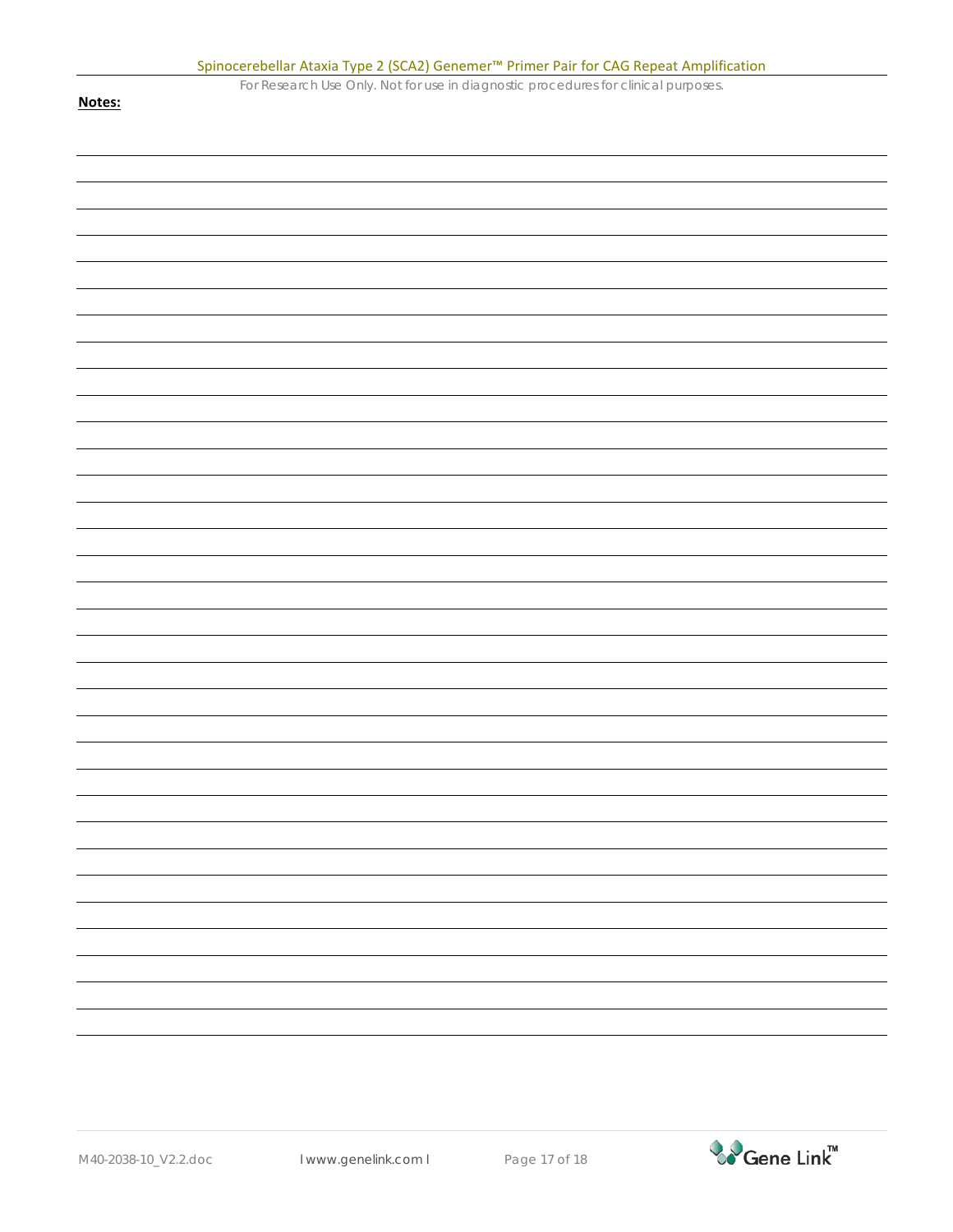|        | Spinocerebellar Ataxia Type 2 (SCA2) Genemer <sup>™</sup> Primer Pair for CAG Repeat Amplification |
|--------|----------------------------------------------------------------------------------------------------|
|        | For Research Use Only. Not for use in diagnostic procedures for clinical purposes.                 |
| Notes: |                                                                                                    |
|        |                                                                                                    |
|        |                                                                                                    |
|        |                                                                                                    |
|        |                                                                                                    |
|        |                                                                                                    |
|        |                                                                                                    |
|        |                                                                                                    |
|        |                                                                                                    |
|        |                                                                                                    |
|        |                                                                                                    |
|        |                                                                                                    |
|        |                                                                                                    |
|        |                                                                                                    |
|        |                                                                                                    |
|        |                                                                                                    |
|        |                                                                                                    |
|        |                                                                                                    |
|        |                                                                                                    |
|        |                                                                                                    |
|        |                                                                                                    |
|        |                                                                                                    |
|        |                                                                                                    |
|        |                                                                                                    |
|        |                                                                                                    |
|        |                                                                                                    |
|        |                                                                                                    |
|        |                                                                                                    |
|        |                                                                                                    |
|        |                                                                                                    |
|        |                                                                                                    |
|        |                                                                                                    |
|        |                                                                                                    |
|        |                                                                                                    |
|        |                                                                                                    |
|        |                                                                                                    |
|        |                                                                                                    |
|        |                                                                                                    |
|        |                                                                                                    |
|        |                                                                                                    |
|        |                                                                                                    |
|        |                                                                                                    |
|        |                                                                                                    |
|        |                                                                                                    |
|        |                                                                                                    |
|        |                                                                                                    |
|        |                                                                                                    |
|        |                                                                                                    |
|        |                                                                                                    |
|        |                                                                                                    |
|        |                                                                                                    |
|        |                                                                                                    |
|        |                                                                                                    |
|        |                                                                                                    |
|        |                                                                                                    |
|        |                                                                                                    |
|        |                                                                                                    |
|        |                                                                                                    |
|        |                                                                                                    |
|        |                                                                                                    |
|        |                                                                                                    |